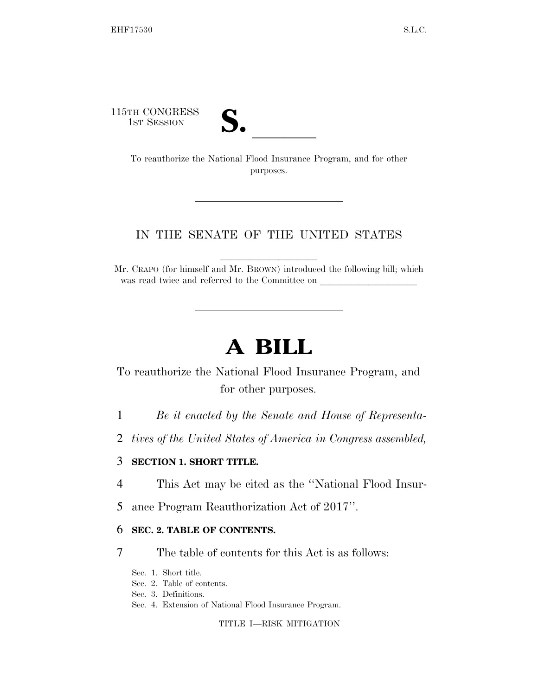115TH CONGRESS

TH CONGRESS<br>
1st Session<br>
To reauthorize the National Flood Insurance Program, and for other purposes.

### IN THE SENATE OF THE UNITED STATES

Mr. CRAPO (for himself and Mr. BROWN) introduced the following bill; which was read twice and referred to the Committee on

# **A BILL**

To reauthorize the National Flood Insurance Program, and for other purposes.

- 1 *Be it enacted by the Senate and House of Representa-*
- 2 *tives of the United States of America in Congress assembled,*

#### 3 **SECTION 1. SHORT TITLE.**

- 4 This Act may be cited as the ''National Flood Insur-
- 5 ance Program Reauthorization Act of 2017''.

#### 6 **SEC. 2. TABLE OF CONTENTS.**

- 7 The table of contents for this Act is as follows:
	- Sec. 1. Short title.
	- Sec. 2. Table of contents.
	- Sec. 3. Definitions.
	- Sec. 4. Extension of National Flood Insurance Program.

TITLE I—RISK MITIGATION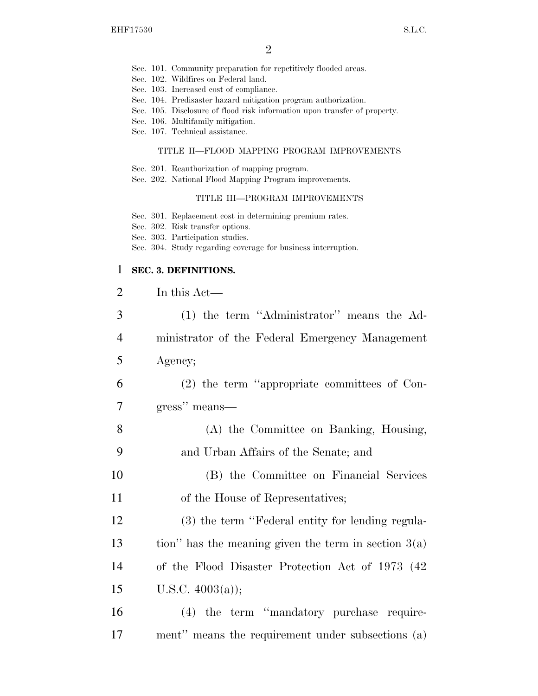- Sec. 101. Community preparation for repetitively flooded areas.
- Sec. 102. Wildfires on Federal land.
- Sec. 103. Increased cost of compliance.
- Sec. 104. Predisaster hazard mitigation program authorization.
- Sec. 105. Disclosure of flood risk information upon transfer of property.
- Sec. 106. Multifamily mitigation.
- Sec. 107. Technical assistance.

#### TITLE II—FLOOD MAPPING PROGRAM IMPROVEMENTS

- Sec. 201. Reauthorization of mapping program.
- Sec. 202. National Flood Mapping Program improvements.

#### TITLE III—PROGRAM IMPROVEMENTS

- Sec. 301. Replacement cost in determining premium rates.
- Sec. 302. Risk transfer options.
- Sec. 303. Participation studies.
- Sec. 304. Study regarding coverage for business interruption.

#### 1 **SEC. 3. DEFINITIONS.**

| $\overline{2}$ | In this Act—                                           |
|----------------|--------------------------------------------------------|
| 3              | (1) the term "Administrator" means the Ad-             |
| $\overline{4}$ | ministrator of the Federal Emergency Management        |
| 5              | Agency;                                                |
| 6              | $(2)$ the term "appropriate committees of Con-         |
| 7              | gress" means—                                          |
| 8              | (A) the Committee on Banking, Housing,                 |
| 9              | and Urban Affairs of the Senate; and                   |
| 10             | (B) the Committee on Financial Services                |
| 11             | of the House of Representatives;                       |
| 12             | (3) the term "Federal entity for lending regula-       |
| 13             | tion" has the meaning given the term in section $3(a)$ |
| 14             | of the Flood Disaster Protection Act of 1973 (42)      |
| 15             | U.S.C. $4003(a)$ ;                                     |
| 16             | (4) the term "mandatory purchase require-              |
| 17             | ment" means the requirement under subsections (a)      |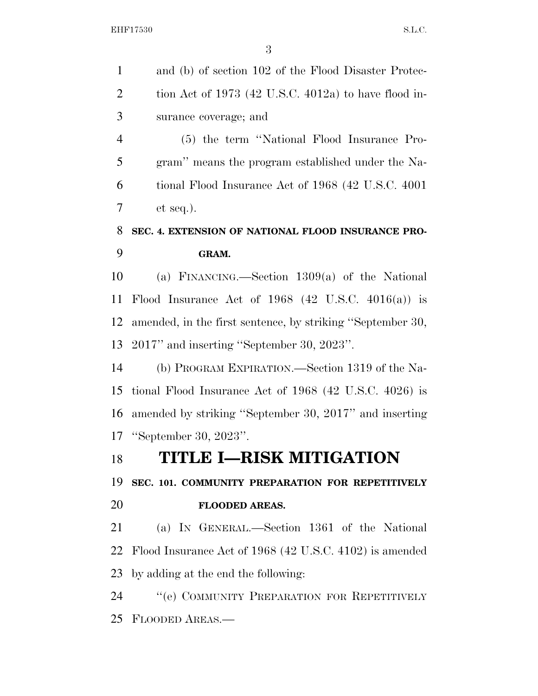| and (b) of section 102 of the Flood Disaster Protec-          |
|---------------------------------------------------------------|
| tion Act of 1973 (42 U.S.C. 4012a) to have flood in-          |
| surance coverage; and                                         |
| (5) the term "National Flood Insurance Pro-                   |
| gram" means the program established under the Na-             |
| tional Flood Insurance Act of 1968 (42 U.S.C. 4001)           |
| $et seq.$ ).                                                  |
| SEC. 4. EXTENSION OF NATIONAL FLOOD INSURANCE PRO-            |
| GRAM.                                                         |
| (a) FINANCING.—Section $1309(a)$ of the National              |
| Flood Insurance Act of 1968 $(42 \text{ U.S.C. } 4016(a))$ is |
| amended, in the first sentence, by striking "September 30,    |
| 2017" and inserting "September 30, 2023".                     |
| (b) PROGRAM EXPIRATION.—Section 1319 of the Na-               |
| tional Flood Insurance Act of $1968$ (42 U.S.C. 4026) is      |
| amended by striking "September 30, 2017" and inserting        |
| "September 30, 2023".                                         |
| <b>TITLE I-RISK MITIGATION</b>                                |
| SEC. 101. COMMUNITY PREPARATION FOR REPETITIVELY              |
| FLOODED AREAS.                                                |
| (a) IN GENERAL.—Section 1361 of the National                  |
| Flood Insurance Act of 1968 (42 U.S.C. 4102) is amended       |
| by adding at the end the following:                           |
| "(e) COMMUNITY PREPARATION FOR REPETITIVELY                   |
| 25<br>FLOODED AREAS.                                          |
|                                                               |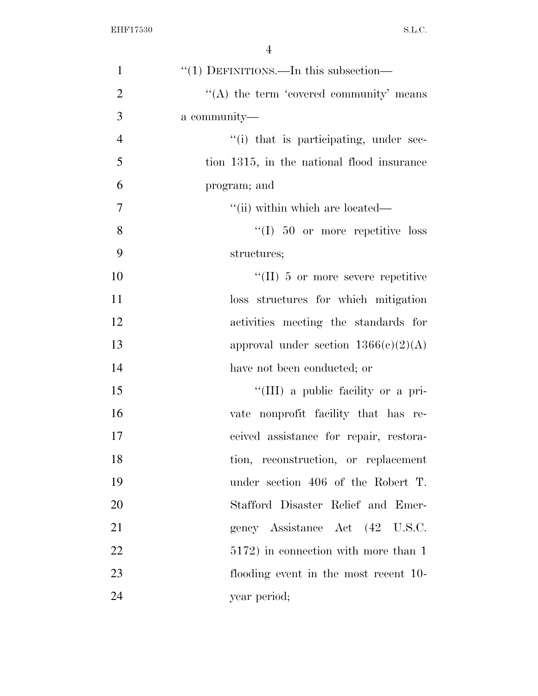| $\mathbf{1}$   | " $(1)$ DEFINITIONS.—In this subsection—   |
|----------------|--------------------------------------------|
| $\overline{2}$ | "(A) the term 'covered community' means    |
| 3              | a community—                               |
| $\overline{4}$ | "(i) that is participating, under sec-     |
| 5              | tion 1315, in the national flood insurance |
| 6              | program; and                               |
| $\tau$         | "(ii) within which are located—            |
| 8              | $\lq(1)$ 50 or more repetitive loss        |
| 9              | structures;                                |
| 10             | $\lq\lq$ (II) 5 or more severe repetitive  |
| 11             | loss structures for which mitigation       |
| 12             | activities meeting the standards for       |
| 13             | approval under section $1366(c)(2)(A)$     |
| 14             | have not been conducted; or                |
| 15             | "(III) a public facility or a pri-         |
| 16             | vate nonprofit facility that has re-       |
| 17             | ceived assistance for repair, restora-     |
| 18             | tion, reconstruction, or replacement       |
| 19             | under section 406 of the Robert T.         |
| 20             | Stafford Disaster Relief and Emer-         |
| 21             | gency Assistance Act (42 U.S.C.            |
| 22             | 5172) in connection with more than 1       |
| 23             | flooding event in the most recent 10-      |
| 24             | year period;                               |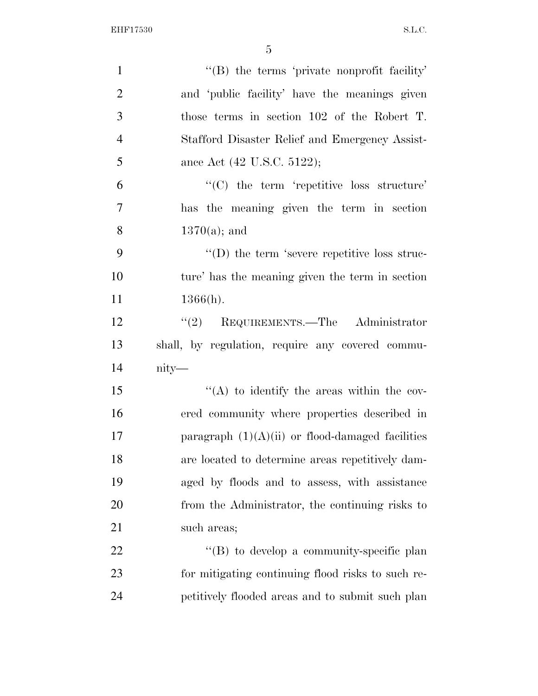| $\mathbf{1}$   | $\lq\lq$ the terms 'private nonprofit facility'    |
|----------------|----------------------------------------------------|
| $\overline{2}$ | and 'public facility' have the meanings given      |
| 3              | those terms in section 102 of the Robert T.        |
| $\overline{4}$ | Stafford Disaster Relief and Emergency Assist-     |
| 5              | ance Act (42 U.S.C. 5122);                         |
| 6              | $\lq\lq$ the term 'repetitive loss structure'      |
| $\overline{7}$ | has the meaning given the term in section          |
| 8              | $1370(a)$ ; and                                    |
| 9              | $\lq\lq$ the term 'severe repetitive loss struc-   |
| 10             | ture' has the meaning given the term in section    |
| 11             | $1366(h)$ .                                        |
| 12             | $\lq(2)$ REQUIREMENTS.—The Administrator           |
| 13             | shall, by regulation, require any covered commu-   |
| 14             | $nity$ —                                           |
| 15             | "(A) to identify the areas within the cov-         |
| 16             |                                                    |
|                | ered community where properties described in       |
| 17             | paragraph $(1)(A)(ii)$ or flood-damaged facilities |
| 18             | are located to determine areas repetitively dam-   |
| 19             | aged by floods and to assess, with assistance      |
| 20             | from the Administrator, the continuing risks to    |
|                | such areas;                                        |
| 21<br>22       | $\lq\lq (B)$ to develop a community-specific plan  |
| 23             | for mitigating continuing flood risks to such re-  |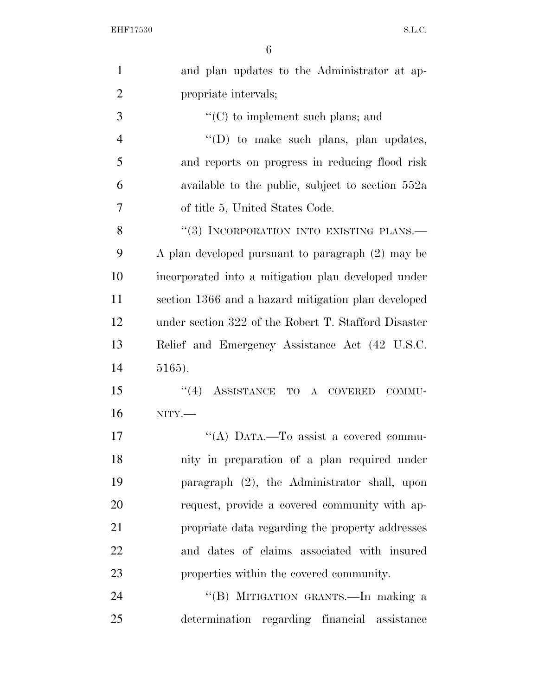| $\mathbf{1}$   | and plan updates to the Administrator at ap-         |
|----------------|------------------------------------------------------|
| $\overline{2}$ | propriate intervals;                                 |
| 3              | $\lq\lq$ (C) to implement such plans; and            |
| $\overline{4}$ | $\lq\lq$ to make such plans, plan updates,           |
| 5              | and reports on progress in reducing flood risk       |
| 6              | available to the public, subject to section 552a     |
| $\overline{7}$ | of title 5, United States Code.                      |
| 8              | "(3) INCORPORATION INTO EXISTING PLANS.-             |
| 9              | A plan developed pursuant to paragraph (2) may be    |
| 10             | incorporated into a mitigation plan developed under  |
| 11             | section 1366 and a hazard mitigation plan developed  |
| 12             | under section 322 of the Robert T. Stafford Disaster |
| 13             | Relief and Emergency Assistance Act (42 U.S.C.       |
| 14             | 5165).                                               |
| 15             | $(4)$ ASSISTANCE TO A COVERED<br>COMMU-              |
| 16             | $NITY$ .                                             |
| 17             | "(A) DATA.—To assist a covered commu-                |
| 18             | nity in preparation of a plan required under         |
| 19             | paragraph (2), the Administrator shall, upon         |
| 20             | request, provide a covered community with ap-        |
| 21             | propriate data regarding the property addresses      |
| 22             | and dates of claims associated with insured          |
| 23             | properties within the covered community.             |
| 24             | "(B) MITIGATION GRANTS.—In making a                  |
| 25             | determination regarding financial assistance         |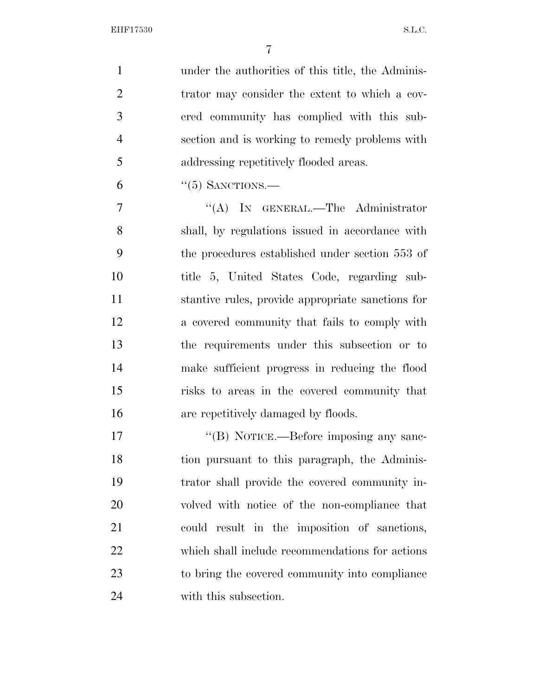under the authorities of this title, the Adminis-2 trator may consider the extent to which a cov- ered community has complied with this sub- section and is working to remedy problems with addressing repetitively flooded areas.

"(5) SANCTIONS.—

7 "'(A) In GENERAL.—The Administrator shall, by regulations issued in accordance with the procedures established under section 553 of title 5, United States Code, regarding sub- stantive rules, provide appropriate sanctions for a covered community that fails to comply with the requirements under this subsection or to make sufficient progress in reducing the flood risks to areas in the covered community that are repetitively damaged by floods.

 $''(B)$  NOTICE.—Before imposing any sanc-18 tion pursuant to this paragraph, the Adminis- trator shall provide the covered community in- volved with notice of the non-compliance that could result in the imposition of sanctions, which shall include recommendations for actions to bring the covered community into compliance with this subsection.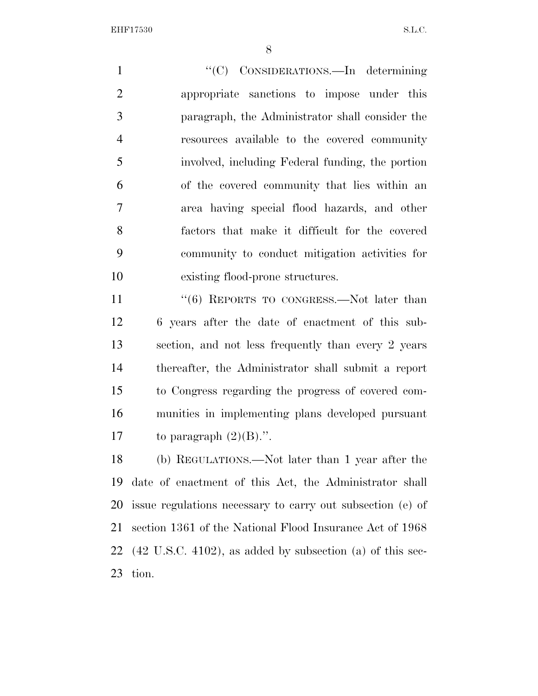1 ''(C) CONSIDERATIONS.—In determining appropriate sanctions to impose under this paragraph, the Administrator shall consider the resources available to the covered community involved, including Federal funding, the portion of the covered community that lies within an area having special flood hazards, and other factors that make it difficult for the covered community to conduct mitigation activities for existing flood-prone structures.

11 ''(6) REPORTS TO CONGRESS.—Not later than 6 years after the date of enactment of this sub- section, and not less frequently than every 2 years thereafter, the Administrator shall submit a report to Congress regarding the progress of covered com- munities in implementing plans developed pursuant 17 to paragraph  $(2)(B)$ .".

 (b) REGULATIONS.—Not later than 1 year after the date of enactment of this Act, the Administrator shall issue regulations necessary to carry out subsection (e) of section 1361 of the National Flood Insurance Act of 1968 (42 U.S.C. 4102), as added by subsection (a) of this sec-tion.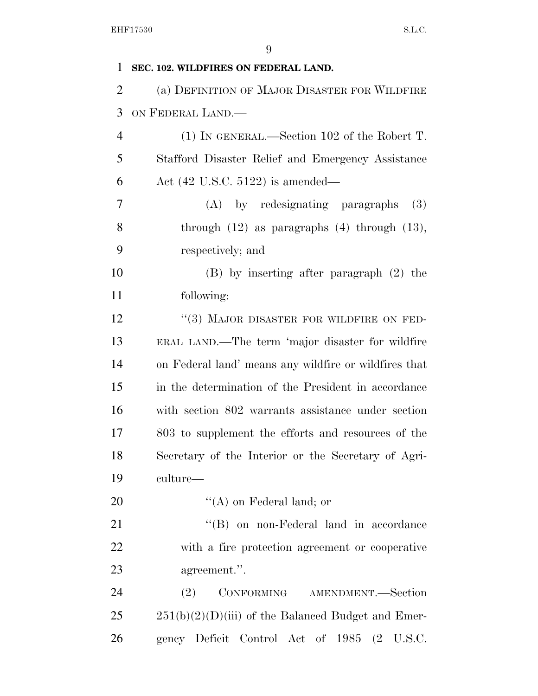| 1              | SEC. 102. WILDFIRES ON FEDERAL LAND.                  |
|----------------|-------------------------------------------------------|
| $\overline{2}$ | (a) DEFINITION OF MAJOR DISASTER FOR WILDFIRE         |
| 3              | ON FEDERAL LAND.                                      |
| $\overline{4}$ | $(1)$ In GENERAL.—Section 102 of the Robert T.        |
| 5              | Stafford Disaster Relief and Emergency Assistance     |
| 6              | Act $(42 \text{ U.S.C. } 5122)$ is amended—           |
| 7              | (A) by redesignating paragraphs<br><b>(3)</b>         |
| 8              | through $(12)$ as paragraphs $(4)$ through $(13)$ ,   |
| 9              | respectively; and                                     |
| 10             | $(B)$ by inserting after paragraph $(2)$ the          |
| 11             | following:                                            |
| 12             | $\lq(3)$ MAJOR DISASTER FOR WILDFIRE ON FED-          |
| 13             | ERAL LAND.—The term 'major disaster for wildfire      |
| 14             | on Federal land' means any wildfire or wildfires that |
| 15             | in the determination of the President in accordance   |
| 16             | with section 802 warrants assistance under section    |
| 17             | 803 to supplement the efforts and resources of the    |
| 18             | Secretary of the Interior or the Secretary of Agri-   |
| 19             | culture—                                              |
| 20             | $\lq\lq$ (A) on Federal land; or                      |
| 21             | "(B) on non-Federal land in accordance                |
| 22             | with a fire protection agreement or cooperative       |
| 23             | agreement.".                                          |
| 24             | CONFORMING<br>(2)<br>AMENDMENT.—Section               |
| 25             | $251(b)(2)(D)(iii)$ of the Balanced Budget and Emer-  |
| 26             | gency Deficit Control Act of 1985<br>(2)<br>U.S.C.    |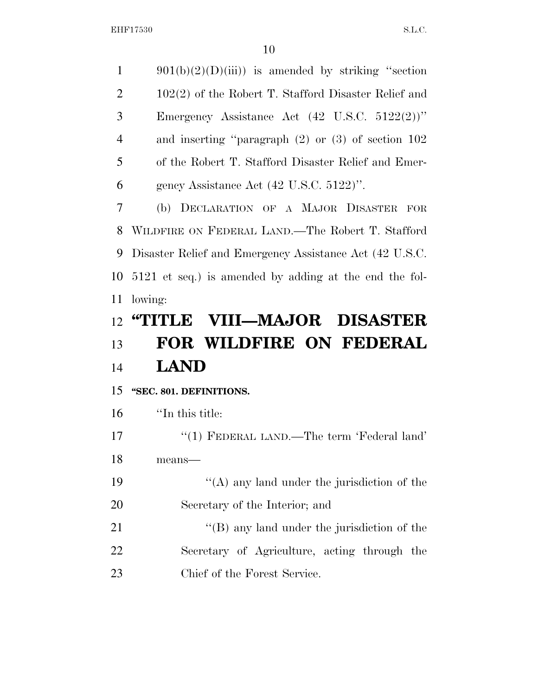$901(b)(2)(D)(iii)$  is amended by striking "section 2 102(2) of the Robert T. Stafford Disaster Relief and Emergency Assistance Act (42 U.S.C. 5122(2))'' and inserting ''paragraph (2) or (3) of section 102 of the Robert T. Stafford Disaster Relief and Emer- gency Assistance Act (42 U.S.C. 5122)''. (b) DECLARATION OF A MAJOR DISASTER FOR WILDFIRE ON FEDERAL LAND.—The Robert T. Stafford Disaster Relief and Emergency Assistance Act (42 U.S.C. 5121 et seq.) is amended by adding at the end the fol- lowing: **''TITLE VIII—MAJOR DISASTER FOR WILDFIRE ON FEDERAL LAND ''SEC. 801. DEFINITIONS.**  ''In this title: 17 "(1) FEDERAL LAND.—The term 'Federal land' means—  $"({\rm A})$  any land under the jurisdiction of the Secretary of the Interior; and 21 ''(B) any land under the jurisdiction of the Secretary of Agriculture, acting through the Chief of the Forest Service.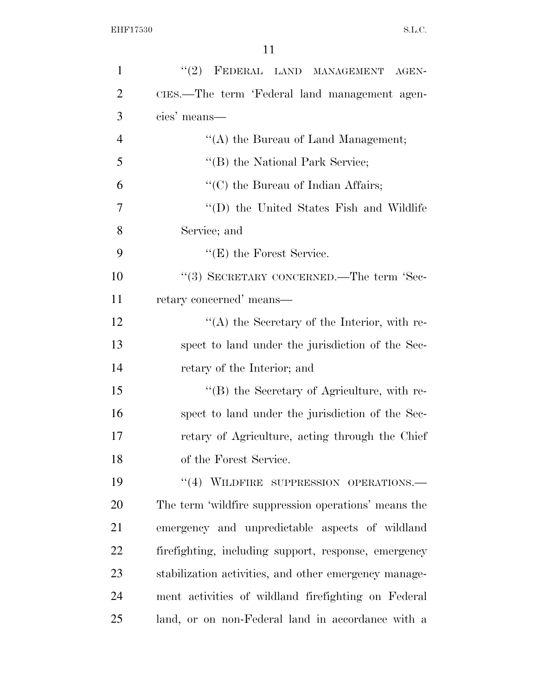| $\mathbf{1}$   | "(2) FEDERAL LAND MANAGEMENT AGEN-                    |
|----------------|-------------------------------------------------------|
| $\overline{2}$ | CIES.—The term 'Federal land management agen-         |
| 3              | cies' means—                                          |
| $\overline{4}$ | "(A) the Bureau of Land Management;                   |
| 5              | "(B) the National Park Service;                       |
| 6              | $\lq\lq$ (C) the Bureau of Indian Affairs;            |
| $\overline{7}$ | "(D) the United States Fish and Wildlife              |
| 8              | Service; and                                          |
| 9              | $f(E)$ the Forest Service.                            |
| 10             | "(3) SECRETARY CONCERNED.—The term 'Sec-              |
| 11             | retary concerned' means—                              |
| 12             | $\lq\lq$ the Secretary of the Interior, with re-      |
| 13             | spect to land under the jurisdiction of the Sec-      |
| 14             | retary of the Interior; and                           |
| 15             | $\lq\lq (B)$ the Secretary of Agriculture, with re-   |
| 16             | spect to land under the jurisdiction of the Sec-      |
| 17             | retary of Agriculture, acting through the Chief       |
| 18             | of the Forest Service.                                |
| 19             | "(4) WILDFIRE SUPPRESSION OPERATIONS.-                |
| 20             | The term 'wildfire suppression operations' means the  |
| 21             | emergency and unpredictable aspects of wildland       |
| 22             | firefighting, including support, response, emergency  |
| 23             | stabilization activities, and other emergency manage- |
| 24             | ment activities of wildland firefighting on Federal   |
| 25             | land, or on non-Federal land in accordance with a     |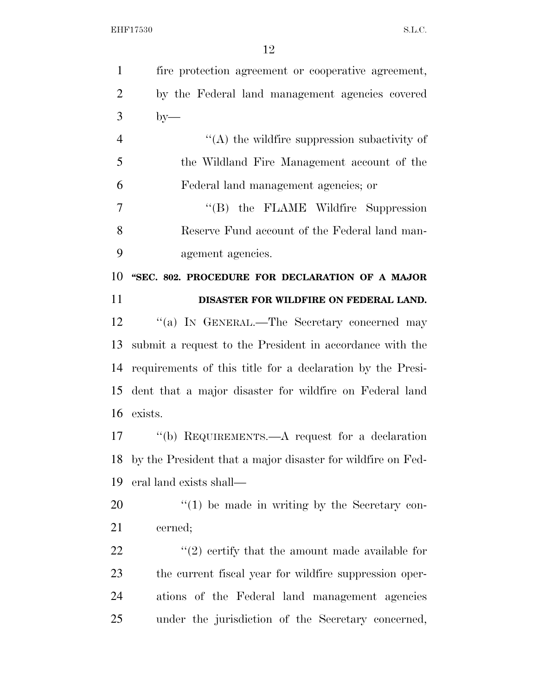| $\mathbf{1}$   | fire protection agreement or cooperative agreement,         |
|----------------|-------------------------------------------------------------|
| $\overline{2}$ | by the Federal land management agencies covered             |
| 3              | $by-$                                                       |
| $\overline{4}$ | $\lq\lq$ the wildfire suppression subactivity of            |
| 5              | the Wildland Fire Management account of the                 |
| 6              | Federal land management agencies; or                        |
| 7              | "(B) the FLAME Wildfire Suppression                         |
| 8              | Reserve Fund account of the Federal land man-               |
| 9              | agement agencies.                                           |
| 10             | "SEC. 802. PROCEDURE FOR DECLARATION OF A MAJOR             |
| 11             | DISASTER FOR WILDFIRE ON FEDERAL LAND.                      |
| 12             | "(a) IN GENERAL.—The Secretary concerned may                |
| 13             | submit a request to the President in accordance with the    |
| 14             | requirements of this title for a declaration by the Presi-  |
| 15             | dent that a major disaster for wildfire on Federal land     |
|                | 16 exists.                                                  |
| 17             | "(b) REQUIREMENTS.—A request for a declaration              |
| 18             | by the President that a major disaster for wildfire on Fed- |
| 19             | eral land exists shall—                                     |
| 20             | $f'(1)$ be made in writing by the Secretary con-            |
| 21             | cerned;                                                     |
| 22             | $\lq(2)$ certify that the amount made available for         |
| 23             | the current fiscal year for wildfire suppression oper-      |
| 24             | ations of the Federal land management agencies              |
| 25             | under the jurisdiction of the Secretary concerned,          |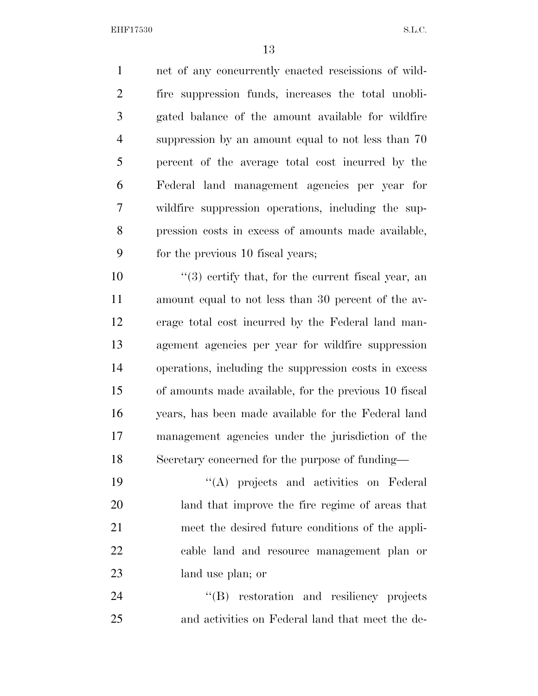net of any concurrently enacted rescissions of wild- fire suppression funds, increases the total unobli- gated balance of the amount available for wildfire suppression by an amount equal to not less than 70 percent of the average total cost incurred by the Federal land management agencies per year for wildfire suppression operations, including the sup- pression costs in excess of amounts made available, for the previous 10 fiscal years;

 $\frac{10}{20}$  ''(3) certify that, for the current fiscal year, an amount equal to not less than 30 percent of the av- erage total cost incurred by the Federal land man- agement agencies per year for wildfire suppression operations, including the suppression costs in excess of amounts made available, for the previous 10 fiscal years, has been made available for the Federal land management agencies under the jurisdiction of the Secretary concerned for the purpose of funding—

 ''(A) projects and activities on Federal land that improve the fire regime of areas that meet the desired future conditions of the appli- cable land and resource management plan or land use plan; or

24 "(B) restoration and resiliency projects and activities on Federal land that meet the de-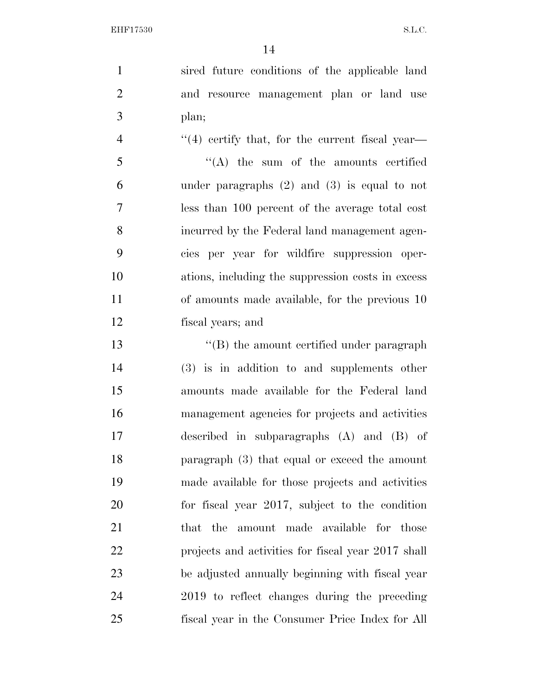sired future conditions of the applicable land and resource management plan or land use plan;

4 "(4) certify that, for the current fiscal year- ''(A) the sum of the amounts certified under paragraphs (2) and (3) is equal to not less than 100 percent of the average total cost incurred by the Federal land management agen- cies per year for wildfire suppression oper- ations, including the suppression costs in excess of amounts made available, for the previous 10 fiscal years; and

13 ''(B) the amount certified under paragraph (3) is in addition to and supplements other amounts made available for the Federal land management agencies for projects and activities described in subparagraphs (A) and (B) of paragraph (3) that equal or exceed the amount made available for those projects and activities for fiscal year 2017, subject to the condition 21 that the amount made available for those projects and activities for fiscal year 2017 shall be adjusted annually beginning with fiscal year 2019 to reflect changes during the preceding fiscal year in the Consumer Price Index for All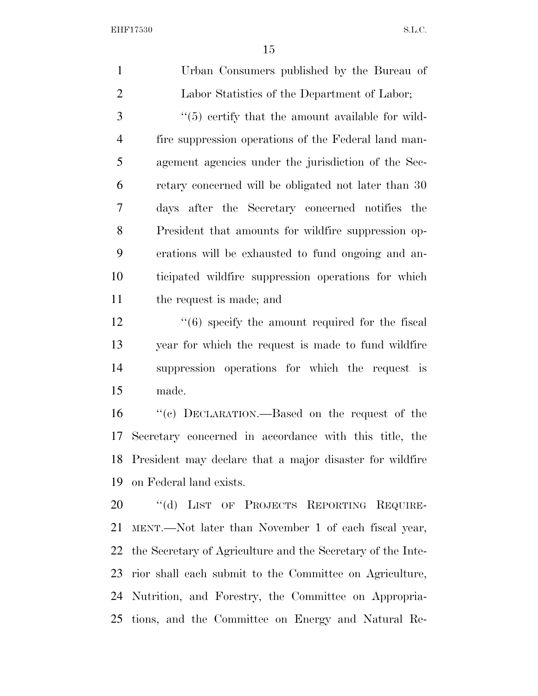Urban Consumers published by the Bureau of Labor Statistics of the Department of Labor; 3 (5) certify that the amount available for wild- fire suppression operations of the Federal land man- agement agencies under the jurisdiction of the Sec- retary concerned will be obligated not later than 30 days after the Secretary concerned notifies the President that amounts for wildfire suppression op- erations will be exhausted to fund ongoing and an- ticipated wildfire suppression operations for which the request is made; and 12 ''(6) specify the amount required for the fiscal year for which the request is made to fund wildfire suppression operations for which the request is made. ''(c) DECLARATION.—Based on the request of the Secretary concerned in accordance with this title, the President may declare that a major disaster for wildfire on Federal land exists. 20 "(d) LIST OF PROJECTS REPORTING REQUIRE- MENT.—Not later than November 1 of each fiscal year, the Secretary of Agriculture and the Secretary of the Inte-rior shall each submit to the Committee on Agriculture,

 Nutrition, and Forestry, the Committee on Appropria-tions, and the Committee on Energy and Natural Re-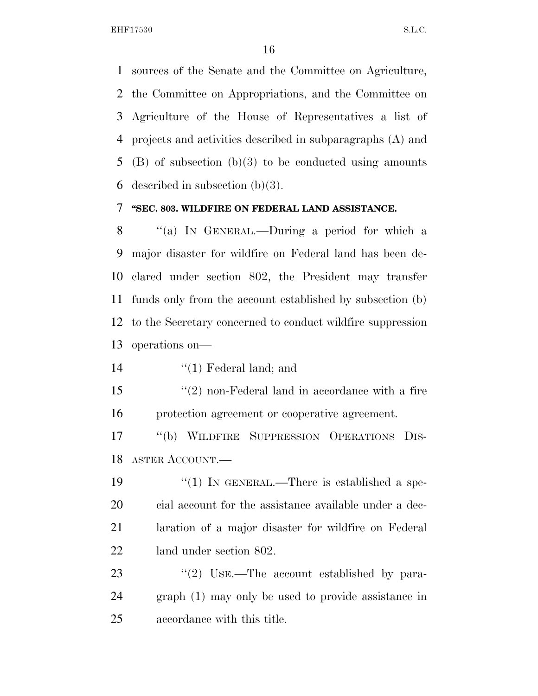sources of the Senate and the Committee on Agriculture, the Committee on Appropriations, and the Committee on Agriculture of the House of Representatives a list of projects and activities described in subparagraphs (A) and (B) of subsection (b)(3) to be conducted using amounts 6 described in subsection  $(b)(3)$ .

#### **''SEC. 803. WILDFIRE ON FEDERAL LAND ASSISTANCE.**

 ''(a) IN GENERAL.—During a period for which a major disaster for wildfire on Federal land has been de- clared under section 802, the President may transfer funds only from the account established by subsection (b) to the Secretary concerned to conduct wildfire suppression operations on—

''(1) Federal land; and

 ''(2) non-Federal land in accordance with a fire protection agreement or cooperative agreement.

 ''(b) WILDFIRE SUPPRESSION OPERATIONS DIS-ASTER ACCOUNT.—

19 "(1) IN GENERAL.—There is established a spe- cial account for the assistance available under a dec- laration of a major disaster for wildfire on Federal land under section 802.

23 ''(2) USE.—The account established by para- graph (1) may only be used to provide assistance in accordance with this title.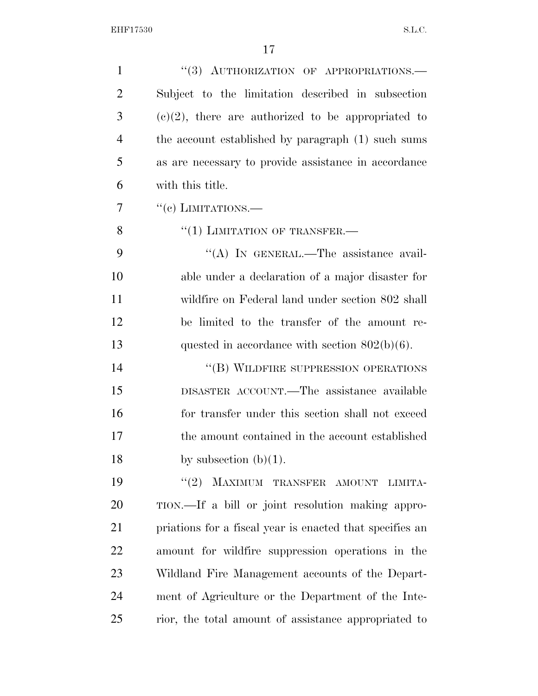| $\mathbf{1}$   | "(3) AUTHORIZATION OF APPROPRIATIONS.—                   |
|----------------|----------------------------------------------------------|
| $\overline{2}$ | Subject to the limitation described in subsection        |
| 3              | $(e)(2)$ , there are authorized to be appropriated to    |
| $\overline{4}$ | the account established by paragraph (1) such sums       |
| 5              | as are necessary to provide assistance in accordance     |
| 6              | with this title.                                         |
| 7              | $``(e)$ LIMITATIONS.—                                    |
| 8              | $``(1)$ LIMITATION OF TRANSFER.—                         |
| 9              | "(A) IN GENERAL.—The assistance avail-                   |
| 10             | able under a declaration of a major disaster for         |
| 11             | wildfire on Federal land under section 802 shall         |
| 12             | be limited to the transfer of the amount re-             |
| 13             | quested in accordance with section $802(b)(6)$ .         |
| 14             | "(B) WILDFIRE SUPPRESSION OPERATIONS                     |
| 15             | DISASTER ACCOUNT.—The assistance available               |
| 16             | for transfer under this section shall not exceed         |
| 17             | the amount contained in the account established          |
| 18             | by subsection $(b)(1)$ .                                 |
| 19             | MAXIMUM TRANSFER AMOUNT<br>(2)<br>LIMITA-                |
| 20             | TION.—If a bill or joint resolution making appro-        |
| 21             | priations for a fiscal year is enacted that specifies an |
| 22             | amount for wildfire suppression operations in the        |
| 23             | Wildland Fire Management accounts of the Depart-         |
| 24             | ment of Agriculture or the Department of the Inte-       |
| 25             | rior, the total amount of assistance appropriated to     |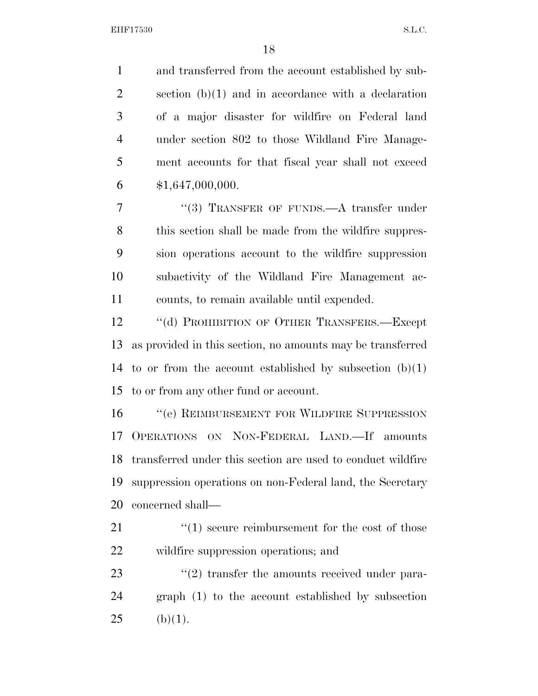and transferred from the account established by sub- section (b)(1) and in accordance with a declaration of a major disaster for wildfire on Federal land under section 802 to those Wildland Fire Manage- ment accounts for that fiscal year shall not exceed  $$1,647,000,000.$ 

7 "(3) TRANSFER OF FUNDS.—A transfer under this section shall be made from the wildfire suppres- sion operations account to the wildfire suppression subactivity of the Wildland Fire Management ac-counts, to remain available until expended.

12 "(d) PROHIBITION OF OTHER TRANSFERS.—Except as provided in this section, no amounts may be transferred 14 to or from the account established by subsection  $(b)(1)$ to or from any other fund or account.

16 <sup>"</sup>(e) REIMBURSEMENT FOR WILDFIRE SUPPRESSION OPERATIONS ON NON-FEDERAL LAND.—If amounts transferred under this section are used to conduct wildfire suppression operations on non-Federal land, the Secretary concerned shall—

21  $\frac{1}{2}$  (1) secure reimbursement for the cost of those wildfire suppression operations; and

23 ''(2) transfer the amounts received under para- graph (1) to the account established by subsection 25 (b)(1).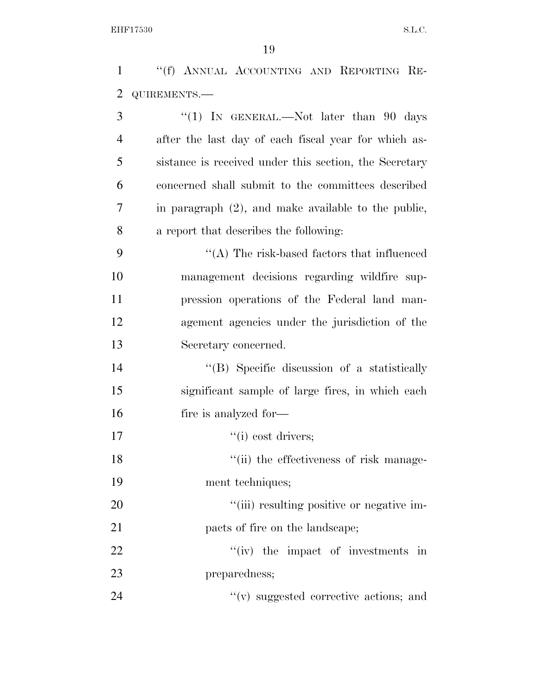| 1              | "(f) ANNUAL ACCOUNTING AND REPORTING RE-               |
|----------------|--------------------------------------------------------|
| $\overline{2}$ | QUIREMENTS.-                                           |
| 3              | "(1) IN GENERAL.—Not later than 90 days                |
| $\overline{4}$ | after the last day of each fiscal year for which as-   |
| 5              | sistance is received under this section, the Secretary |
| 6              | concerned shall submit to the committees described     |
| 7              | in paragraph $(2)$ , and make available to the public, |
| 8              | a report that describes the following:                 |
| 9              | $\lq\lq$ . The risk-based factors that influenced      |
| 10             | management decisions regarding wildfire sup-           |
| 11             | pression operations of the Federal land man-           |
| 12             | agement agencies under the jurisdiction of the         |
| 13             | Secretary concerned.                                   |
| 14             | "(B) Specific discussion of a statistically            |
| 15             | significant sample of large fires, in which each       |
| 16             | fire is analyzed for—                                  |
| 17             | ``(i) cost drivers;                                    |
| 18             | "(ii) the effectiveness of risk manage-                |
| 19             | ment techniques;                                       |
| 20             | "(iii) resulting positive or negative im-              |
| 21             | pacts of fire on the landscape;                        |
| 22             | $f'(iv)$ the impact of investments in                  |
| 23             | preparedness;                                          |
| 24             | $f'(v)$ suggested corrective actions; and              |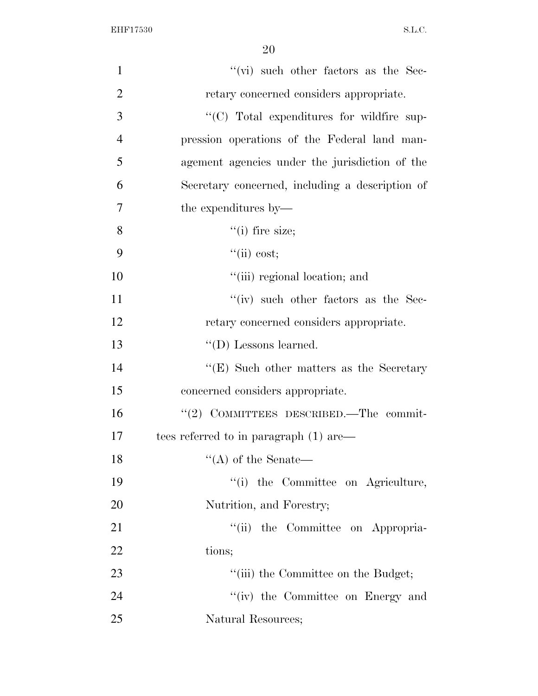| $\mathbf{1}$   | $``$ (vi) such other factors as the Sec-         |
|----------------|--------------------------------------------------|
| $\overline{2}$ | retary concerned considers appropriate.          |
| 3              | "(C) Total expenditures for wildfire sup-        |
| $\overline{4}$ | pression operations of the Federal land man-     |
| 5              | agement agencies under the jurisdiction of the   |
| 6              | Secretary concerned, including a description of  |
| 7              | the expenditures by—                             |
| 8              | $``(i)$ fire size;                               |
| 9              | ``(ii) cost;                                     |
| 10             | "(iii) regional location; and                    |
| 11             | $``(iv)$ such other factors as the Sec-          |
| 12             | retary concerned considers appropriate.          |
| 13             | $\lq\lq$ (D) Lessons learned.                    |
| 14             | $\lq\lq$ (E) Such other matters as the Secretary |
| 15             | concerned considers appropriate.                 |
| 16             | " $(2)$ COMMITTEES DESCRIBED.—The commit-        |
| 17             | tees referred to in paragraph $(1)$ are—         |
| 18             | $\lq\lq$ of the Senate—                          |
| 19             | "(i) the Committee on Agriculture,               |
| 20             | Nutrition, and Forestry;                         |
| 21             | "(ii) the Committee on Appropria-                |
| 22             | tions;                                           |
| 23             | "(iii) the Committee on the Budget;              |
| 24             | "(iv) the Committee on Energy and                |
| 25             | Natural Resources;                               |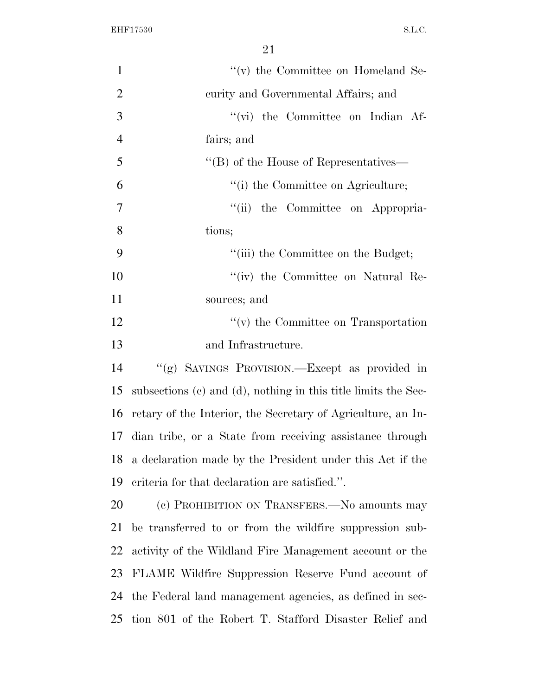| $\mathbf{1}$   | $\lq\lq$ (v) the Committee on Homeland Se-                     |
|----------------|----------------------------------------------------------------|
| $\overline{2}$ | curity and Governmental Affairs; and                           |
| 3              | "(vi) the Committee on Indian Af-                              |
| $\overline{4}$ | fairs; and                                                     |
| 5              | $\lq\lq (B)$ of the House of Representatives—                  |
| 6              | "(i) the Committee on Agriculture;                             |
| 7              | "(ii) the Committee on Appropria-                              |
| 8              | tions;                                                         |
| 9              | "(iii) the Committee on the Budget;                            |
| 10             | "(iv) the Committee on Natural Re-                             |
| 11             | sources; and                                                   |
| 12             | $\lq\lq$ (v) the Committee on Transportation                   |
| 13             | and Infrastructure.                                            |
| 14             | "(g) SAVINGS PROVISION.—Except as provided in                  |
| 15             | subsections (c) and (d), nothing in this title limits the Sec- |
| 16             | retary of the Interior, the Secretary of Agriculture, an In-   |
| 17             | dian tribe, or a State from receiving assistance through       |
| 18             | a declaration made by the President under this Act if the      |
| 19             | eriteria for that declaration are satisfied.".                 |
| 20             | (c) PROHIBITION ON TRANSFERS.—No amounts may                   |
| 21             | be transferred to or from the wildfire suppression sub-        |
| 22             | activity of the Wildland Fire Management account or the        |
| 23             | FLAME Wildfire Suppression Reserve Fund account of             |
| 24             | the Federal land management agencies, as defined in sec-       |
| 25             | tion 801 of the Robert T. Stafford Disaster Relief and         |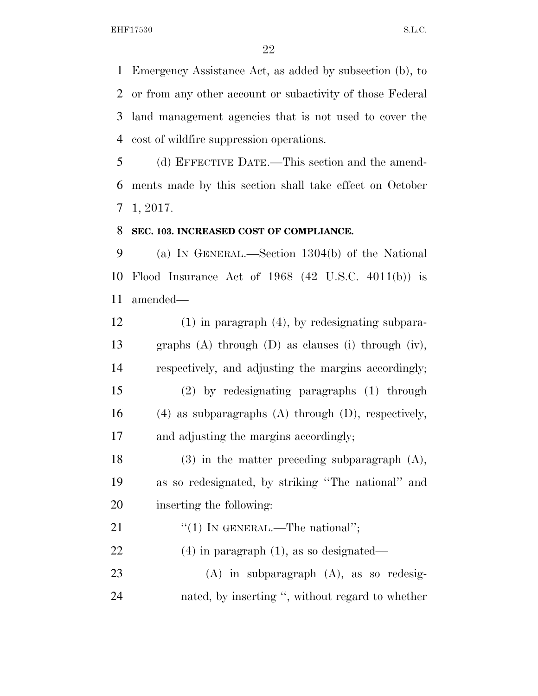Emergency Assistance Act, as added by subsection (b), to or from any other account or subactivity of those Federal land management agencies that is not used to cover the cost of wildfire suppression operations.

 (d) EFFECTIVE DATE.—This section and the amend- ments made by this section shall take effect on October 1, 2017.

#### **SEC. 103. INCREASED COST OF COMPLIANCE.**

 (a) IN GENERAL.—Section 1304(b) of the National Flood Insurance Act of 1968 (42 U.S.C. 4011(b)) is amended—

 (1) in paragraph (4), by redesignating subpara- graphs (A) through (D) as clauses (i) through (iv), respectively, and adjusting the margins accordingly; (2) by redesignating paragraphs (1) through (4) as subparagraphs (A) through (D), respectively, and adjusting the margins accordingly; (3) in the matter preceding subparagraph (A),

 as so redesignated, by striking ''The national'' and inserting the following:

21  $\text{``(1)}$  IN GENERAL.—The national"; (4) in paragraph (1), as so designated—

 (A) in subparagraph (A), as so redesig-nated, by inserting '', without regard to whether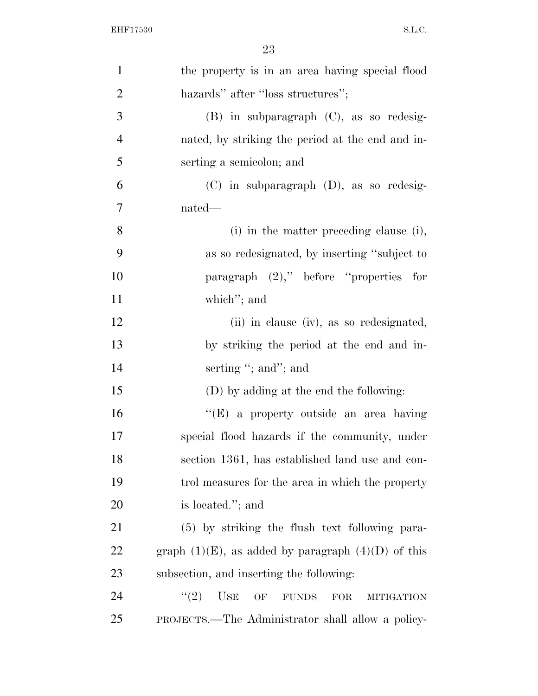| $\mathbf{1}$   | the property is in an area having special flood           |
|----------------|-----------------------------------------------------------|
| $\overline{2}$ | hazards" after "loss structures";                         |
| 3              | $(B)$ in subparagraph $(C)$ , as so redesig-              |
| $\overline{4}$ | nated, by striking the period at the end and in-          |
| 5              | serting a semicolon; and                                  |
| 6              | (C) in subparagraph (D), as so redesig-                   |
| 7              | nated—                                                    |
| 8              | (i) in the matter preceding clause (i),                   |
| 9              | as so redesignated, by inserting "subject to              |
| 10             | paragraph $(2)$ ," before "properties for                 |
| 11             | which"; and                                               |
| 12             | (ii) in clause (iv), as so redesignated,                  |
| 13             | by striking the period at the end and in-                 |
| 14             | serting "; and"; and                                      |
| 15             | (D) by adding at the end the following:                   |
| 16             | "(E) a property outside an area having                    |
| 17             | special flood hazards if the community, under             |
| 18             | section 1361, has established land use and con-           |
| 19             | trol measures for the area in which the property          |
| 20             | is located."; and                                         |
| 21             | (5) by striking the flush text following para-            |
| <u>22</u>      | graph $(1)(E)$ , as added by paragraph $(4)(D)$ of this   |
| 23             | subsection, and inserting the following:                  |
| 24             | USE OF<br>(2)<br><b>FUNDS</b><br>FOR<br><b>MITIGATION</b> |
| 25             | PROJECTS.—The Administrator shall allow a policy-         |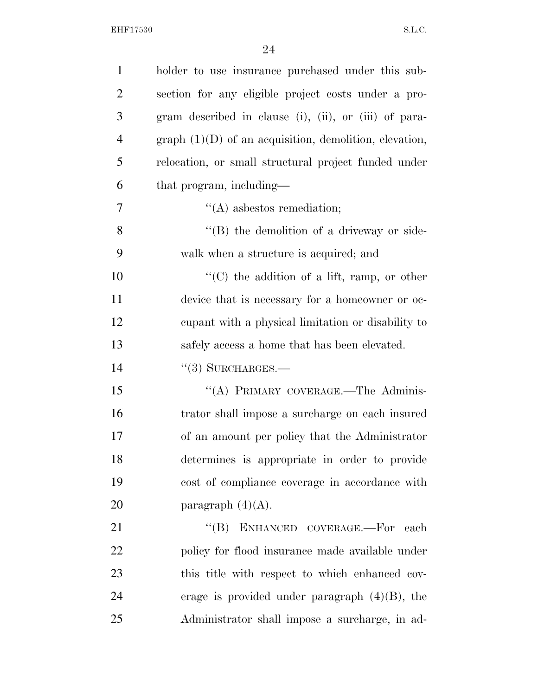| $\mathbf{1}$   | holder to use insurance purchased under this sub-                                                                                                                                                                             |
|----------------|-------------------------------------------------------------------------------------------------------------------------------------------------------------------------------------------------------------------------------|
| $\overline{2}$ | section for any eligible project costs under a pro-                                                                                                                                                                           |
| 3              | gram described in clause (i), (ii), or (iii) of para-                                                                                                                                                                         |
| $\overline{4}$ | $graph (1)(D)$ of an acquisition, demolition, elevation,                                                                                                                                                                      |
| 5              | relocation, or small structural project funded under                                                                                                                                                                          |
| 6              | that program, including—                                                                                                                                                                                                      |
| 7              | $\lq\lq$ as best os remediation;                                                                                                                                                                                              |
| 8              | $\lq\lq (B)$ the demolition of a driveway or side-                                                                                                                                                                            |
| 9              | walk when a structure is acquired; and                                                                                                                                                                                        |
| 10             | " $(C)$ the addition of a lift, ramp, or other                                                                                                                                                                                |
| 11             | device that is necessary for a homeowner or oc-                                                                                                                                                                               |
| 12             | equal capacity to equal to equal to equal to equal to equal to equal to equal to equal to equal to equal to equal to equal to equal to equal to equal to equal to equal to equal to equal to equal to equal to equal to equal |
| 13             | safely access a home that has been elevated.                                                                                                                                                                                  |
| 14             | $``(3)$ SURCHARGES.—                                                                                                                                                                                                          |
| 15             | "(A) PRIMARY COVERAGE.—The Adminis-                                                                                                                                                                                           |
| 16             | trator shall impose a surcharge on each insured                                                                                                                                                                               |
| 17             | of an amount per policy that the Administrator                                                                                                                                                                                |
| 18             | determines is appropriate in order to provide                                                                                                                                                                                 |
| 19             | cost of compliance coverage in accordance with                                                                                                                                                                                |
| 20             | paragraph $(4)(A)$ .                                                                                                                                                                                                          |
| 21             | $\lq\lq$ (B) ENHANCED COVERAGE.-For<br>each                                                                                                                                                                                   |
| 22             | policy for flood insurance made available under                                                                                                                                                                               |
| 23             | this title with respect to which enhanced cov-                                                                                                                                                                                |
| 24             | erage is provided under paragraph $(4)(B)$ , the                                                                                                                                                                              |
| 25             | Administrator shall impose a surcharge, in ad-                                                                                                                                                                                |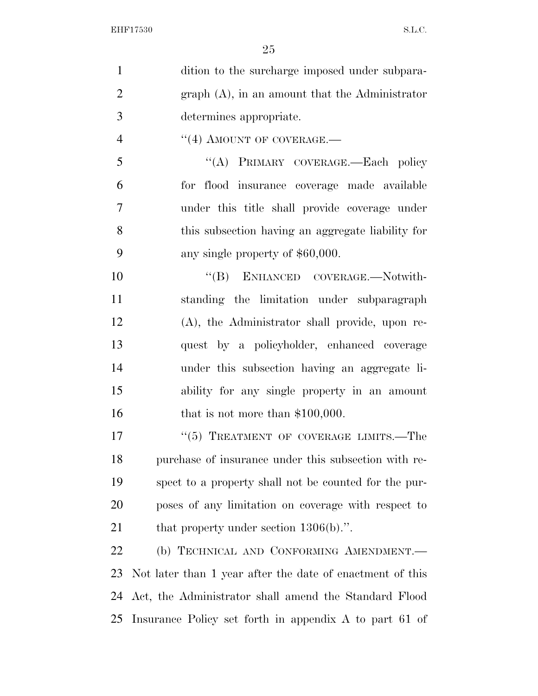| $\mathbf{1}$   | dition to the surcharge imposed under subpara-            |
|----------------|-----------------------------------------------------------|
| $\overline{2}$ | $graph(A)$ , in an amount that the Administrator          |
| 3              | determines appropriate.                                   |
| $\overline{4}$ | $``(4)$ AMOUNT OF COVERAGE.—                              |
| 5              | "(A) PRIMARY COVERAGE.—Each policy                        |
| 6              | for flood insurance coverage made available               |
| 7              | under this title shall provide coverage under             |
| 8              | this subsection having an aggregate liability for         |
| 9              | any single property of \$60,000.                          |
| 10             | "(B) ENHANCED COVERAGE.—Notwith-                          |
| 11             | standing the limitation under subparagraph                |
| 12             | (A), the Administrator shall provide, upon re-            |
| 13             | quest by a policyholder, enhanced coverage                |
| 14             | under this subsection having an aggregate li-             |
| 15             | ability for any single property in an amount              |
| 16             | that is not more than $$100,000$ .                        |
| 17             | "(5) TREATMENT OF COVERAGE LIMITS.-The                    |
| 18             | purchase of insurance under this subsection with re-      |
| 19             | spect to a property shall not be counted for the pur-     |
| 20             | poses of any limitation on coverage with respect to       |
| 21             | that property under section $1306(b)$ .".                 |
| 22             | (b) TECHNICAL AND CONFORMING AMENDMENT.                   |
| 23             | Not later than 1 year after the date of enactment of this |
| 24             | Act, the Administrator shall amend the Standard Flood     |
| 25             | Insurance Policy set forth in appendix A to part 61 of    |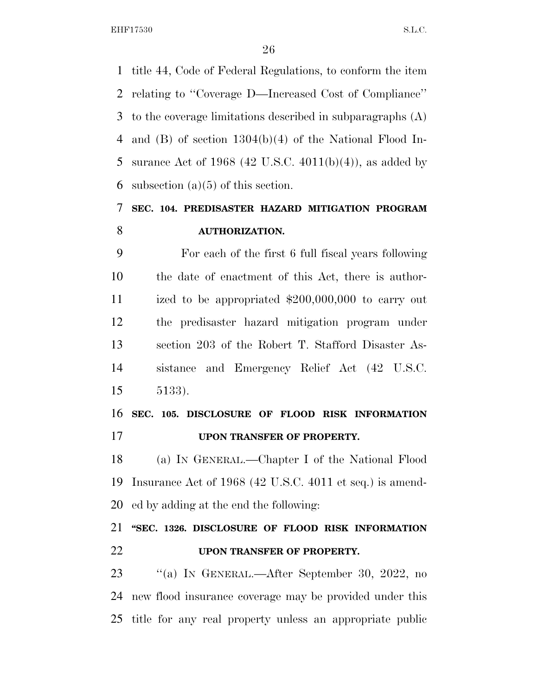title 44, Code of Federal Regulations, to conform the item relating to ''Coverage D—Increased Cost of Compliance'' to the coverage limitations described in subparagraphs (A) and (B) of section 1304(b)(4) of the National Flood In-5 surance Act of 1968 (42 U.S.C. 4011(b)(4)), as added by 6 subsection  $(a)(5)$  of this section.

# **SEC. 104. PREDISASTER HAZARD MITIGATION PROGRAM AUTHORIZATION.**

 For each of the first 6 full fiscal years following the date of enactment of this Act, there is author- ized to be appropriated \$200,000,000 to carry out the predisaster hazard mitigation program under section 203 of the Robert T. Stafford Disaster As- sistance and Emergency Relief Act (42 U.S.C. 5133).

 **SEC. 105. DISCLOSURE OF FLOOD RISK INFORMATION UPON TRANSFER OF PROPERTY.** 

 (a) IN GENERAL.—Chapter I of the National Flood Insurance Act of 1968 (42 U.S.C. 4011 et seq.) is amend-ed by adding at the end the following:

 **''SEC. 1326. DISCLOSURE OF FLOOD RISK INFORMATION UPON TRANSFER OF PROPERTY.** 

 ''(a) IN GENERAL.—After September 30, 2022, no new flood insurance coverage may be provided under this title for any real property unless an appropriate public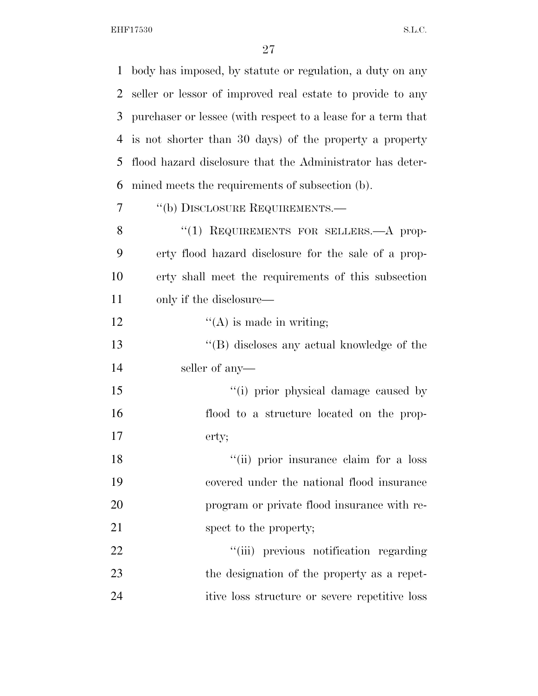| $\mathbf{1}$   | body has imposed, by statute or regulation, a duty on any    |
|----------------|--------------------------------------------------------------|
| 2              | seller or lessor of improved real estate to provide to any   |
| 3              | purchaser or lessee (with respect to a lease for a term that |
| $\overline{4}$ | is not shorter than 30 days) of the property a property      |
| 5              | flood hazard disclosure that the Administrator has deter-    |
| 6              | mined meets the requirements of subsection (b).              |
| 7              | "(b) DISCLOSURE REQUIREMENTS.—                               |
| 8              | "(1) REQUIREMENTS FOR SELLERS.—A prop-                       |
| 9              | erty flood hazard disclosure for the sale of a prop-         |
| 10             | erty shall meet the requirements of this subsection          |
| 11             | only if the disclosure—                                      |
| 12             | $\lq\lq$ (A) is made in writing;                             |
| 13             | $\lq\lq$ (B) discloses any actual knowledge of the           |
| 14             | seller of any-                                               |
| 15             | "(i) prior physical damage caused by                         |
| 16             | flood to a structure located on the prop-                    |
| 17             | erty;                                                        |
| 18             | "(ii) prior insurance claim for a loss                       |
| 19             | covered under the national flood insurance                   |
| 20             | program or private flood insurance with re-                  |
| 21             | spect to the property;                                       |
| 22             | "(iii) previous notification regarding                       |
| 23             | the designation of the property as a repet-                  |
| 24             | itive loss structure or severe repetitive loss               |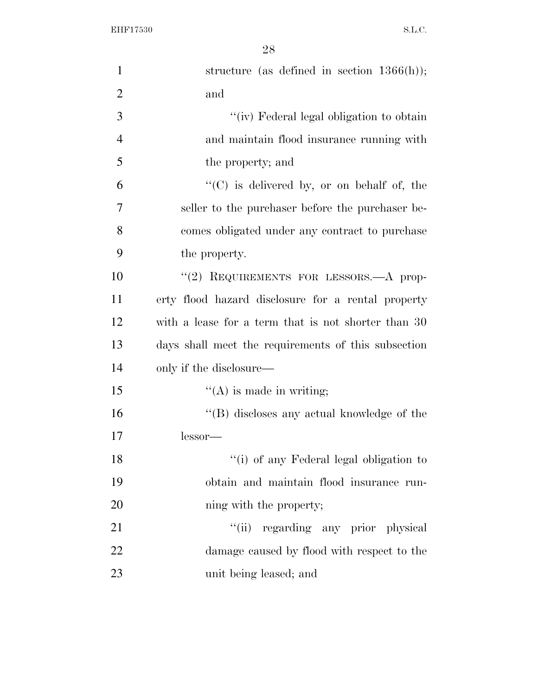| 1              | structure (as defined in section $1366(h)$ );                   |
|----------------|-----------------------------------------------------------------|
| $\overline{2}$ | and                                                             |
| 3              | "(iv) Federal legal obligation to obtain                        |
| $\overline{4}$ | and maintain flood insurance running with                       |
| 5              | the property; and                                               |
| 6              | $\lq\lq$ <sup>"</sup> (C) is delivered by, or on behalf of, the |
| 7              | seller to the purchaser before the purchaser be-                |
| 8              | comes obligated under any contract to purchase                  |
| 9              | the property.                                                   |
| 10             | "(2) REQUIREMENTS FOR LESSORS.—A prop-                          |
| 11             | erty flood hazard disclosure for a rental property              |
| 12             | with a lease for a term that is not shorter than 30             |
| 13             | days shall meet the requirements of this subsection             |
| 14             | only if the disclosure—                                         |
| 15             | $\lq\lq$ (A) is made in writing;                                |
| 16             | "(B) discloses any actual knowledge of the                      |
| 17             | lessor—                                                         |
| 18             | "(i) of any Federal legal obligation to                         |
| 19             | obtain and maintain flood insurance run-                        |
| 20             | ning with the property;                                         |
| 21             | "(ii) regarding any prior physical                              |
| 22             | damage caused by flood with respect to the                      |
| 23             | unit being leased; and                                          |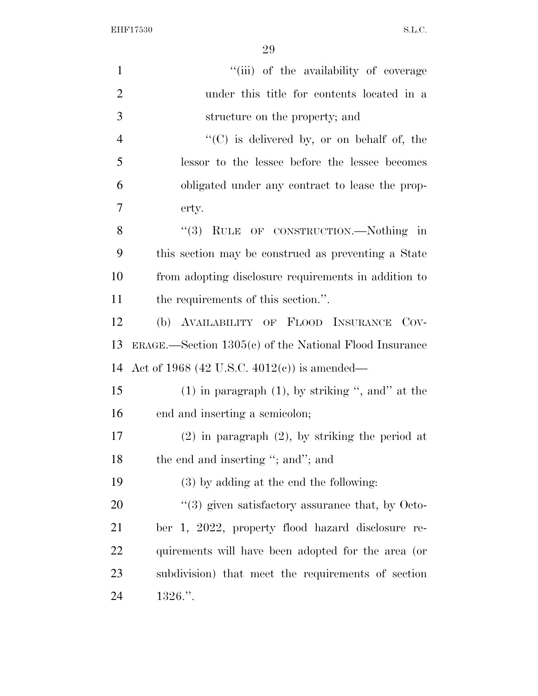| $\mathbf{1}$   | "(iii) of the availability of coverage                       |
|----------------|--------------------------------------------------------------|
| $\overline{2}$ | under this title for contents located in a                   |
| 3              | structure on the property; and                               |
| $\overline{4}$ | "(C) is delivered by, or on behalf of, the                   |
| 5              | lessor to the lessee before the lessee becomes               |
| 6              | obligated under any contract to lease the prop-              |
| $\overline{7}$ | erty.                                                        |
| 8              | "(3) RULE OF CONSTRUCTION.—Nothing in                        |
| 9              | this section may be construed as preventing a State          |
| 10             | from adopting disclosure requirements in addition to         |
| 11             | the requirements of this section.".                          |
| 12             | (b) AVAILABILITY OF FLOOD INSURANCE<br>Cov-                  |
| 13             | $ERAGE.$ Section $1305(c)$ of the National Flood Insurance   |
| 14             | Act of 1968 (42 U.S.C. 4012(c)) is amended—                  |
| 15             | $(1)$ in paragraph $(1)$ , by striking ", and" at the        |
| 16             | end and inserting a semicolon;                               |
| 17             | $(2)$ in paragraph $(2)$ , by striking the period at         |
| 18             | the end and inserting "; and"; and                           |
| 19             | $(3)$ by adding at the end the following:                    |
| 20             | $\cdot\cdot$ (3) given satisfactory assurance that, by Octo- |
| 21             | ber 1, 2022, property flood hazard disclosure<br>re-         |
| <u>22</u>      | quirements will have been adopted for the area (or           |
| 23             | subdivision) that meet the requirements of section           |
| 24             | $1326.$ ".                                                   |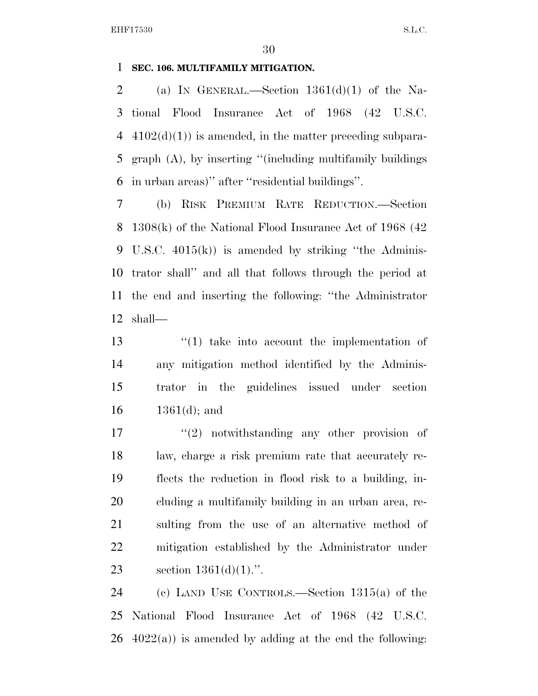#### **SEC. 106. MULTIFAMILY MITIGATION.**

2 (a) IN GENERAL.—Section  $1361(d)(1)$  of the Na- tional Flood Insurance Act of 1968 (42 U.S.C.  $4102(d)(1)$  is amended, in the matter preceding subpara- graph (A), by inserting ''(including multifamily buildings in urban areas)'' after ''residential buildings''.

 (b) RISK PREMIUM RATE REDUCTION.—Section 1308(k) of the National Flood Insurance Act of 1968 (42 U.S.C. 4015(k)) is amended by striking ''the Adminis- trator shall'' and all that follows through the period at the end and inserting the following: ''the Administrator shall—

13 ''(1) take into account the implementation of any mitigation method identified by the Adminis- trator in the guidelines issued under section  $1361(d)$ ; and

17 ''(2) notwithstanding any other provision of law, charge a risk premium rate that accurately re- flects the reduction in flood risk to a building, in- cluding a multifamily building in an urban area, re- sulting from the use of an alternative method of mitigation established by the Administrator under 23 section  $1361(d)(1)$ .".

 (c) LAND USE CONTROLS.—Section 1315(a) of the National Flood Insurance Act of 1968 (42 U.S.C.  $26 \text{ } 4022(a)$  is amended by adding at the end the following: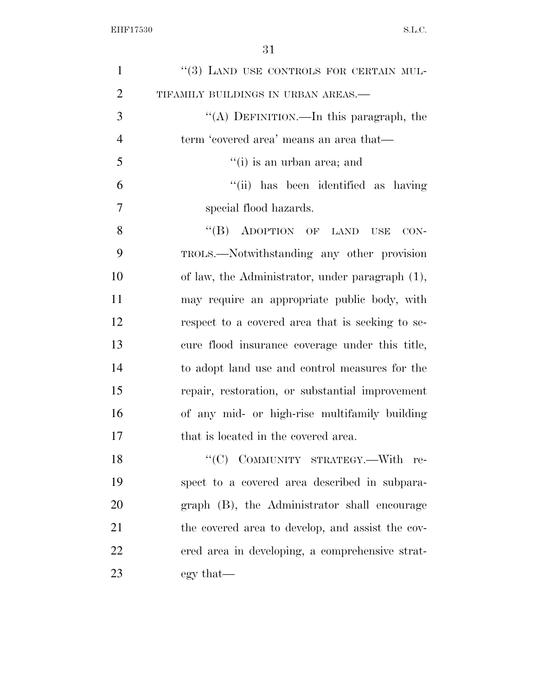| $\mathbf{1}$   | "(3) LAND USE CONTROLS FOR CERTAIN MUL-          |
|----------------|--------------------------------------------------|
| $\overline{2}$ | TIFAMILY BUILDINGS IN URBAN AREAS.-              |
| 3              | "(A) DEFINITION.—In this paragraph, the          |
| $\overline{4}$ | term 'covered area' means an area that—          |
| 5              | $f'(i)$ is an urban area; and                    |
| 6              | "(ii) has been identified as having              |
| 7              | special flood hazards.                           |
| 8              | $\lq\lq (B)$ ADOPTION OF LAND<br>USE<br>$CON-$   |
| 9              | TROLS.—Notwithstanding any other provision       |
| 10             | of law, the Administrator, under paragraph (1),  |
| 11             | may require an appropriate public body, with     |
| 12             | respect to a covered area that is seeking to se- |
| 13             | cure flood insurance coverage under this title,  |
| 14             | to adopt land use and control measures for the   |
| 15             | repair, restoration, or substantial improvement  |
| 16             | of any mid- or high-rise multifamily building    |
| 17             | that is located in the covered area.             |
| 18             | "(C) COMMUNITY STRATEGY.—With<br>re-             |
| 19             | spect to a covered area described in subpara-    |
| 20             | graph (B), the Administrator shall encourage     |
| 21             | the covered area to develop, and assist the cov- |
| 22             | ered area in developing, a comprehensive strat-  |
| 23             | egy that—                                        |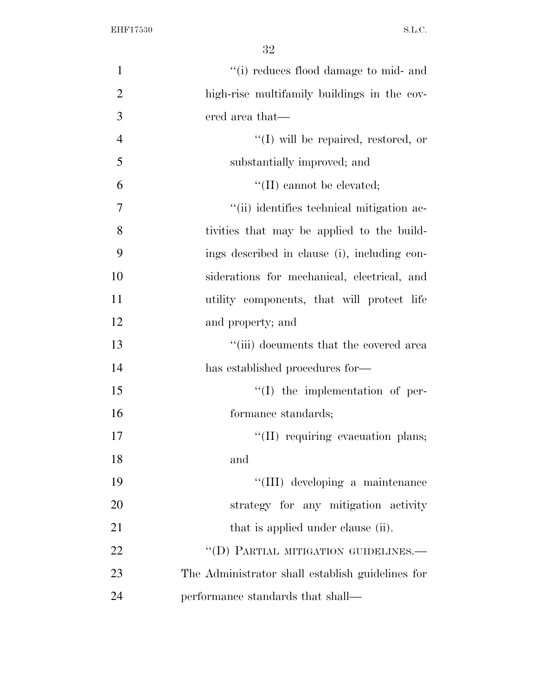| $\mathbf{1}$   | "(i) reduces flood damage to mid- and            |
|----------------|--------------------------------------------------|
| $\overline{2}$ | high-rise multifamily buildings in the cov-      |
| 3              | ered area that—                                  |
| $\overline{4}$ | "(I) will be repaired, restored, or              |
| 5              | substantially improved; and                      |
| 6              | $\lq\lq$ (II) cannot be elevated;                |
| 7              | "(ii) identifies technical mitigation ac-        |
| 8              | tivities that may be applied to the build-       |
| 9              | ings described in clause (i), including con-     |
| 10             | siderations for mechanical, electrical, and      |
| 11             | utility components, that will protect life       |
| 12             | and property; and                                |
| 13             | "(iii) documents that the covered area           |
| 14             | has established procedures for-                  |
| 15             | $\lq\lq$ the implementation of per-              |
| 16             | formance standards;                              |
| 17             | "(II) requiring evacuation plans;                |
| 18             | and                                              |
| 19             | "(III) developing a maintenance                  |
| 20             | strategy for any mitigation activity             |
| 21             | that is applied under clause (ii).               |
| 22             | "(D) PARTIAL MITIGATION GUIDELINES.-             |
| 23             | The Administrator shall establish guidelines for |
| 24             | performance standards that shall—                |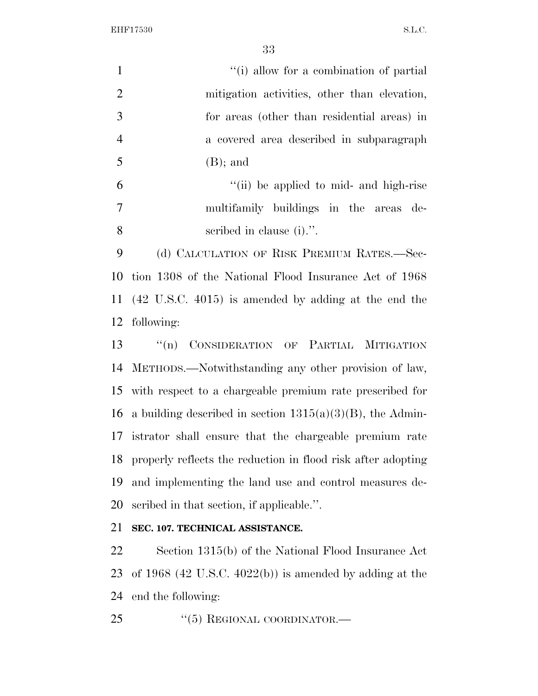| $\mathbf{1}$   | "(i) allow for a combination of partial      |
|----------------|----------------------------------------------|
| 2              | mitigation activities, other than elevation, |
| 3              | for areas (other than residential areas) in  |
| $\overline{4}$ | a covered area described in subparagraph     |
| $\overline{5}$ | $(B)$ ; and                                  |
| 6              | "(ii) be applied to mid- and high-rise       |
| 7              | multifamily buildings in the areas de-       |
| 8              | scribed in clause (i).".                     |
| 9              | (d) CALCULATION OF RISK PREMIUM RATES.—Sec-  |

 tion 1308 of the National Flood Insurance Act of 1968 (42 U.S.C. 4015) is amended by adding at the end the following:

 ''(n) CONSIDERATION OF PARTIAL MITIGATION METHODS.—Notwithstanding any other provision of law, with respect to a chargeable premium rate prescribed for 16 a building described in section  $1315(a)(3)(B)$ , the Admin- istrator shall ensure that the chargeable premium rate properly reflects the reduction in flood risk after adopting and implementing the land use and control measures de-scribed in that section, if applicable.''.

## **SEC. 107. TECHNICAL ASSISTANCE.**

 Section 1315(b) of the National Flood Insurance Act of 1968 (42 U.S.C. 4022(b)) is amended by adding at the end the following:

25 "(5) REGIONAL COORDINATOR.—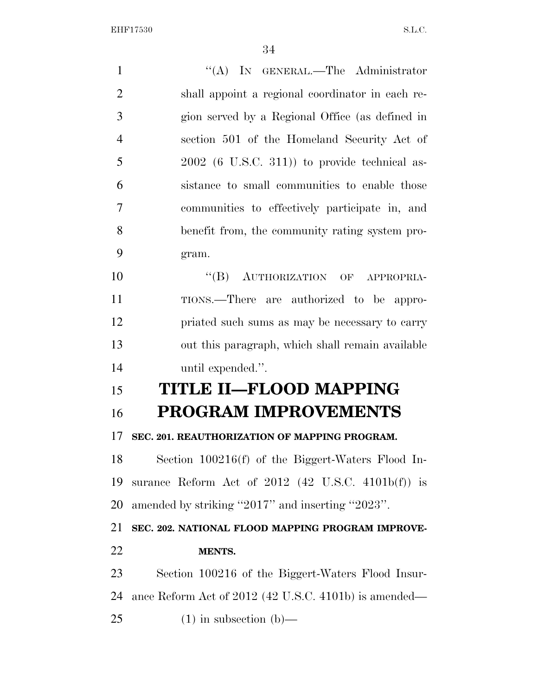1 "(A) IN GENERAL.—The Administrator shall appoint a regional coordinator in each re- gion served by a Regional Office (as defined in section 501 of the Homeland Security Act of 2002 (6 U.S.C. 311)) to provide technical as- sistance to small communities to enable those communities to effectively participate in, and benefit from, the community rating system pro- gram. 10 "(B) AUTHORIZATION OF APPROPRIA- TIONS.—There are authorized to be appro- priated such sums as may be necessary to carry out this paragraph, which shall remain available until expended.''. **TITLE II—FLOOD MAPPING PROGRAM IMPROVEMENTS SEC. 201. REAUTHORIZATION OF MAPPING PROGRAM.**  Section 100216(f) of the Biggert-Waters Flood In- surance Reform Act of 2012 (42 U.S.C. 4101b(f)) is amended by striking ''2017'' and inserting ''2023''. **SEC. 202. NATIONAL FLOOD MAPPING PROGRAM IMPROVE- MENTS.**  Section 100216 of the Biggert-Waters Flood Insur- ance Reform Act of 2012 (42 U.S.C. 4101b) is amended— (1) in subsection (b)—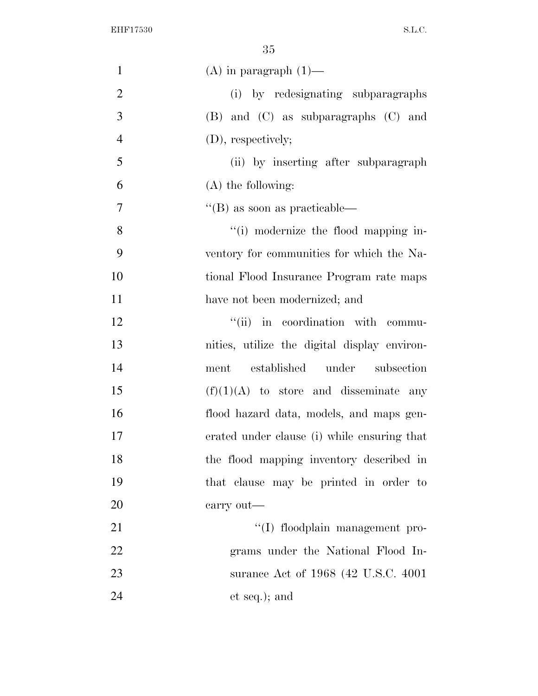| $\mathbf{1}$   | $(A)$ in paragraph $(1)$ —                   |
|----------------|----------------------------------------------|
| $\overline{2}$ | (i) by redesignating subparagraphs           |
| 3              | (B) and (C) as subparagraphs (C) and         |
| $\overline{4}$ | (D), respectively;                           |
| 5              | (ii) by inserting after subparagraph         |
| 6              | $(A)$ the following:                         |
| $\overline{7}$ | $\lq$ (B) as soon as practicable—            |
| $8\,$          | "(i) modernize the flood mapping in-         |
| 9              | ventory for communities for which the Na-    |
| 10             | tional Flood Insurance Program rate maps     |
| 11             | have not been modernized; and                |
| 12             | "(ii) in coordination with commu-            |
| 13             | nities, utilize the digital display environ- |
| 14             | established under<br>subsection<br>ment      |
| 15             | $(f)(1)(A)$ to store and disseminate any     |
| 16             | flood hazard data, models, and maps gen-     |
| 17             | erated under clause (i) while ensuring that  |
| 18             | the flood mapping inventory described in     |
| 19             | that clause may be printed in order to       |
| 20             | carry out—                                   |
| 21             | "(I) floodplain management pro-              |
| 22             | grams under the National Flood In-           |
| 23             | surance Act of 1968 (42 U.S.C. 4001)         |
| 24             | et seq.); and                                |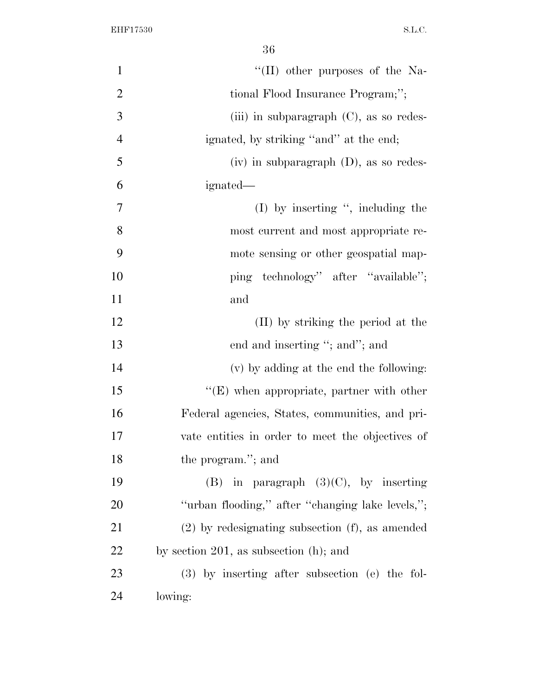| $\mathbf{1}$   | $\lq\lq$ (II) other purposes of the Na-              |
|----------------|------------------------------------------------------|
| $\overline{2}$ | tional Flood Insurance Program;";                    |
| 3              | (iii) in subparagraph $(C)$ , as so redes-           |
| $\overline{4}$ | ignated, by striking "and" at the end;               |
| 5              | $(iv)$ in subparagraph $(D)$ , as so redes-          |
| 6              | ignated—                                             |
| 7              | $(I)$ by inserting ", including the                  |
| 8              | most current and most appropriate re-                |
| 9              | mote sensing or other geospatial map-                |
| 10             | ping technology" after "available";                  |
| 11             | and                                                  |
| 12             | (II) by striking the period at the                   |
| 13             | end and inserting "; and"; and                       |
| 14             | (v) by adding at the end the following:              |
| 15             | $\lq\lq$ (E) when appropriate, partner with other    |
| 16             | Federal agencies, States, communities, and pri-      |
| 17             | vate entities in order to meet the objectives of     |
| 18             | the program."; and                                   |
| 19             | (B) in paragraph $(3)(C)$ , by inserting             |
| 20             | "urban flooding," after "changing lake levels,";     |
| 21             | $(2)$ by redesignating subsection $(f)$ , as amended |
| 22             | by section 201, as subsection $(h)$ ; and            |
| 23             | $(3)$ by inserting after subsection (e) the fol-     |
| 24             | lowing:                                              |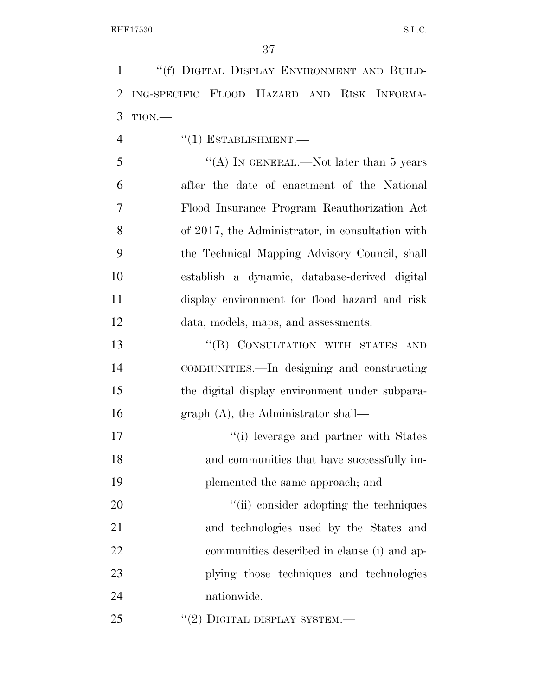''(f) DIGITAL DISPLAY ENVIRONMENT AND BUILD- ING-SPECIFIC FLOOD HAZARD AND RISK INFORMA-TION.—

4  $((1)$  ESTABLISHMENT.

5 "(A) IN GENERAL.—Not later than 5 years after the date of enactment of the National Flood Insurance Program Reauthorization Act of 2017, the Administrator, in consultation with the Technical Mapping Advisory Council, shall establish a dynamic, database-derived digital display environment for flood hazard and risk data, models, maps, and assessments.

13 "(B) CONSULTATION WITH STATES AND COMMUNITIES.—In designing and constructing the digital display environment under subpara-16 graph (A), the Administrator shall—

17  $\frac{1}{2}$  '(i) leverage and partner with States and communities that have successfully im-plemented the same approach; and

 $\frac{1}{20}$  (ii) consider adopting the techniques and technologies used by the States and communities described in clause (i) and ap- plying those techniques and technologies nationwide.

25 "(2) DIGITAL DISPLAY SYSTEM.—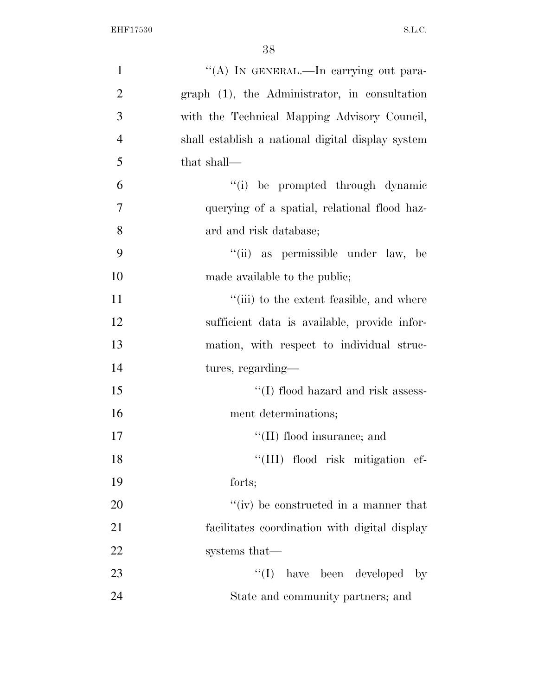| $\mathbf{1}$   | "(A) IN GENERAL.—In carrying out para-            |
|----------------|---------------------------------------------------|
| $\overline{2}$ | graph (1), the Administrator, in consultation     |
| 3              | with the Technical Mapping Advisory Council,      |
| $\overline{4}$ | shall establish a national digital display system |
| 5              | that shall-                                       |
| 6              | "(i) be prompted through dynamic                  |
| 7              | querying of a spatial, relational flood haz-      |
| 8              | ard and risk database;                            |
| 9              | "(ii) as permissible under law, be                |
| 10             | made available to the public;                     |
| 11             | "(iii) to the extent feasible, and where          |
| 12             | sufficient data is available, provide infor-      |
| 13             | mation, with respect to individual struc-         |
| 14             | tures, regarding-                                 |
| 15             | "(I) flood hazard and risk assess-                |
| 16             | ment determinations;                              |
| 17             | "(II) flood insurance; and                        |
| 18             | "(III) flood risk mitigation ef-                  |
| 19             | forts;                                            |
| 20             | "(iv) be constructed in a manner that             |
| 21             | facilitates coordination with digital display     |
| 22             | systems that—                                     |
| 23             | $\lq\lq$ (I) have been developed by               |
| 24             | State and community partners; and                 |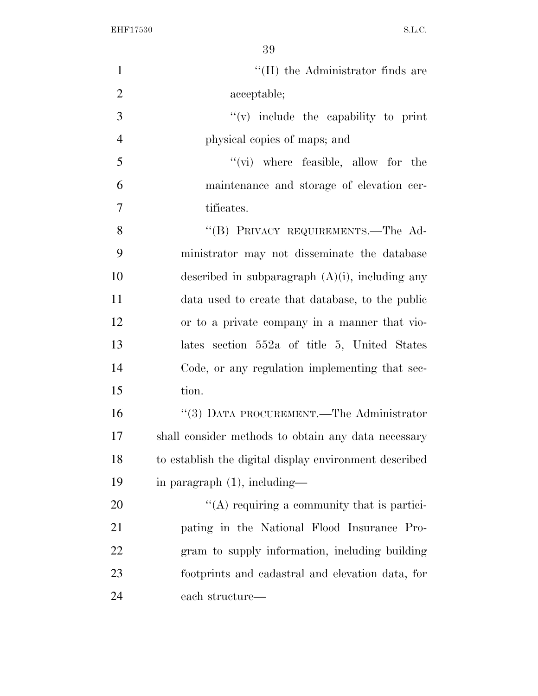| $\mathbf{1}$   | "(II) the Administrator finds are                      |
|----------------|--------------------------------------------------------|
| $\overline{2}$ | acceptable;                                            |
| 3              | $f'(v)$ include the capability to print                |
| $\overline{4}$ | physical copies of maps; and                           |
| 5              | $\lq\lq$ (vi) where feasible, allow for the            |
| 6              | maintenance and storage of elevation cer-              |
| $\overline{7}$ | tificates.                                             |
| 8              | "(B) PRIVACY REQUIREMENTS.—The Ad-                     |
| 9              | ministrator may not disseminate the database           |
| 10             | described in subparagraph $(A)(i)$ , including any     |
| 11             | data used to create that database, to the public       |
| 12             | or to a private company in a manner that vio-          |
| 13             | lates section 552a of title 5, United States           |
| 14             | Code, or any regulation implementing that sec-         |
| 15             | tion.                                                  |
| 16             | "(3) DATA PROCUREMENT.—The Administrator               |
| 17             | shall consider methods to obtain any data necessary    |
| 18             | to establish the digital display environment described |
| 19             | in paragraph $(1)$ , including—                        |
| 20             | " $(A)$ requiring a community that is partici-         |
| 21             | pating in the National Flood Insurance Pro-            |
| 22             | gram to supply information, including building         |
| 23             | footprints and cadastral and elevation data, for       |
| 24             | each structure—                                        |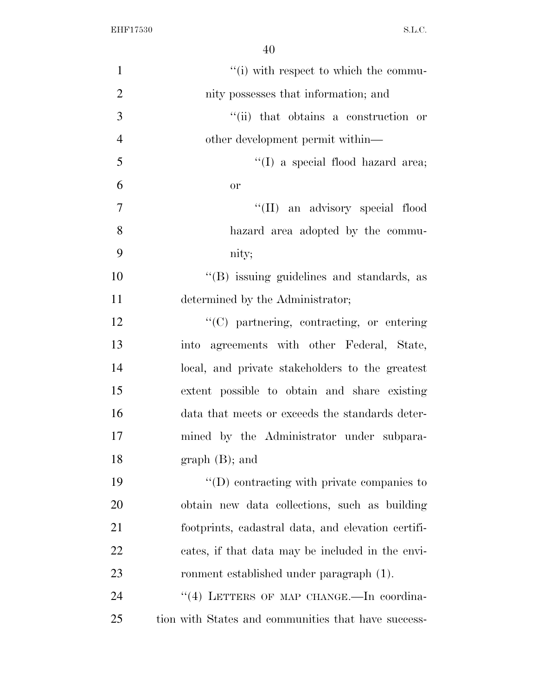| $\mathbf{1}$   | "(i) with respect to which the commu-               |
|----------------|-----------------------------------------------------|
| $\mathbf{2}$   | nity possesses that information; and                |
| 3              | "(ii) that obtains a construction or                |
| $\overline{4}$ | other development permit within—                    |
| 5              | "(I) a special flood hazard area;                   |
| 6              | <b>or</b>                                           |
| $\overline{7}$ | "(II) an advisory special flood                     |
| 8              | hazard area adopted by the commu-                   |
| 9              | nity;                                               |
| 10             | "(B) issuing guidelines and standards, as           |
| 11             | determined by the Administrator;                    |
| 12             | "(C) partnering, contracting, or entering           |
| 13             | into agreements with other Federal, State,          |
| 14             | local, and private stakeholders to the greatest     |
| 15             | extent possible to obtain and share existing        |
| 16             | data that meets or exceeds the standards deter-     |
| 17             | mined by the Administrator under subpara-           |
| 18             | $graph(B);$ and                                     |
| 19             | $\lq\lq$ (D) contracting with private companies to  |
| 20             | obtain new data collections, such as building       |
| 21             | footprints, cadastral data, and elevation certifi-  |
| 22             | cates, if that data may be included in the envi-    |
| 23             | ronment established under paragraph (1).            |
| 24             | "(4) LETTERS OF MAP CHANGE. In coordina-            |
| 25             | tion with States and communities that have success- |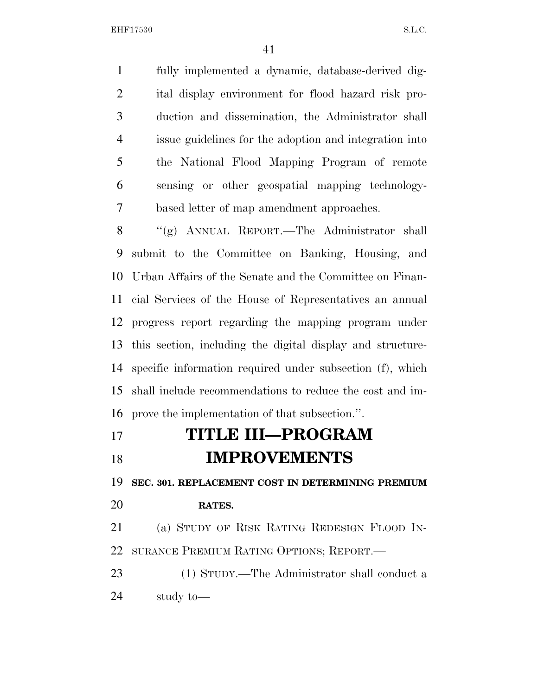fully implemented a dynamic, database-derived dig- ital display environment for flood hazard risk pro- duction and dissemination, the Administrator shall issue guidelines for the adoption and integration into the National Flood Mapping Program of remote sensing or other geospatial mapping technology-based letter of map amendment approaches.

 ''(g) ANNUAL REPORT.—The Administrator shall submit to the Committee on Banking, Housing, and Urban Affairs of the Senate and the Committee on Finan- cial Services of the House of Representatives an annual progress report regarding the mapping program under this section, including the digital display and structure- specific information required under subsection (f), which shall include recommendations to reduce the cost and im-prove the implementation of that subsection.''.

 **TITLE III—PROGRAM IMPROVEMENTS** 

**SEC. 301. REPLACEMENT COST IN DETERMINING PREMIUM** 

## **RATES.**

 (a) STUDY OF RISK RATING REDESIGN FLOOD IN-SURANCE PREMIUM RATING OPTIONS; REPORT.—

 (1) STUDY.—The Administrator shall conduct a study to—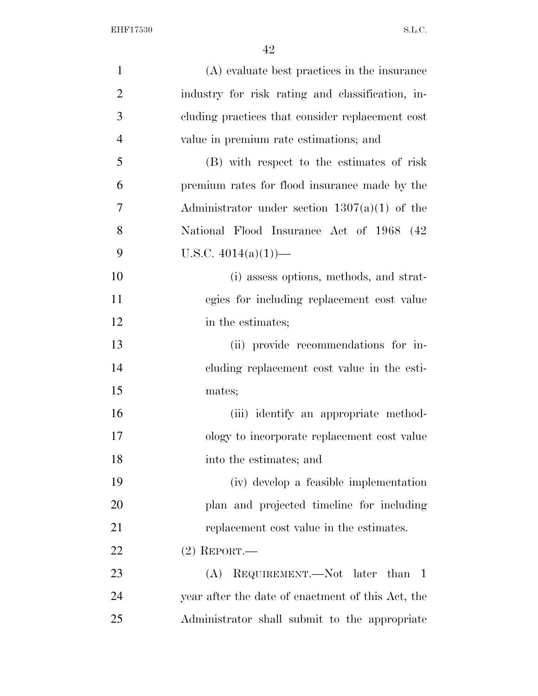| $\mathbf{1}$   | (A) evaluate best practices in the insurance      |
|----------------|---------------------------------------------------|
| $\overline{2}$ | industry for risk rating and classification, in-  |
| 3              | cluding practices that consider replacement cost  |
| $\overline{4}$ | value in premium rate estimations; and            |
| 5              | (B) with respect to the estimates of risk         |
| 6              | premium rates for flood insurance made by the     |
| 7              | Administrator under section $1307(a)(1)$ of the   |
| 8              | National Flood Insurance Act of 1968 (42)         |
| 9              | U.S.C. $4014(a)(1)$ —                             |
| 10             | (i) assess options, methods, and strat-           |
| 11             | egies for including replacement cost value        |
| 12             | in the estimates;                                 |
| 13             | (ii) provide recommendations for in-              |
| 14             | cluding replacement cost value in the esti-       |
| 15             | mates;                                            |
| 16             | (iii) identify an appropriate method-             |
| 17             | ology to incorporate replacement cost value       |
| 18             | into the estimates; and                           |
| 19             | (iv) develop a feasible implementation            |
| 20             | plan and projected timeline for including         |
| 21             | replacement cost value in the estimates.          |
| 22             | $(2)$ REPORT.—                                    |
| 23             | REQUIREMENT.—Not later than 1<br>(A)              |
| 24             | year after the date of enactment of this Act, the |
| 25             | Administrator shall submit to the appropriate     |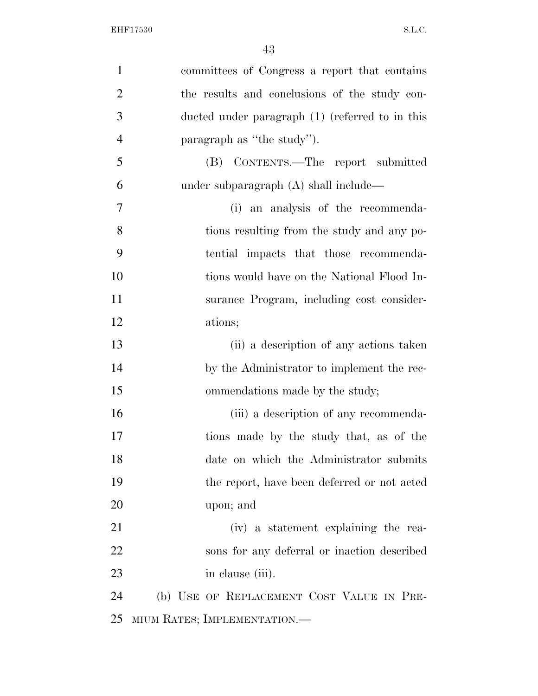| $\mathbf{1}$   | committees of Congress a report that contains   |
|----------------|-------------------------------------------------|
| $\overline{2}$ | the results and conclusions of the study con-   |
| 3              | ducted under paragraph (1) (referred to in this |
| $\overline{4}$ | paragraph as "the study").                      |
| 5              | (B) CONTENTS.—The report submitted              |
| 6              | under subparagraph $(A)$ shall include—         |
| 7              | (i) an analysis of the recommenda-              |
| 8              | tions resulting from the study and any po-      |
| 9              | tential impacts that those recommenda-          |
| 10             | tions would have on the National Flood In-      |
| 11             | surance Program, including cost consider-       |
| 12             | ations;                                         |
| 13             | (ii) a description of any actions taken         |
| 14             | by the Administrator to implement the rec-      |
| 15             | ommendations made by the study;                 |
| 16             | (iii) a description of any recommenda-          |
| 17             | tions made by the study that, as of the         |
| 18             | date on which the Administrator submits         |
| 19             | the report, have been deferred or not acted     |
| 20             | upon; and                                       |
| 21             | (iv) a statement explaining the rea-            |
| 22             | sons for any deferral or inaction described     |
| 23             | in clause (iii).                                |
| 24             | (b) USE OF REPLACEMENT COST VALUE IN PRE-       |
| 25             | MIUM RATES; IMPLEMENTATION.-                    |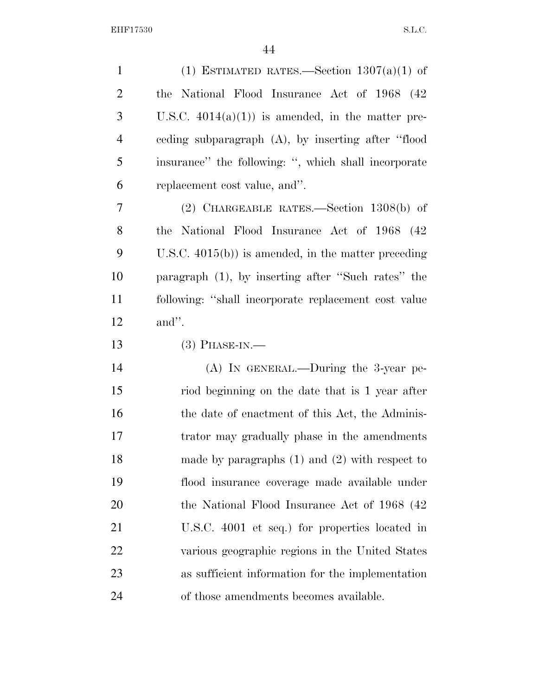| $\mathbf{1}$   | (1) ESTIMATED RATES.—Section $1307(a)(1)$ of           |
|----------------|--------------------------------------------------------|
| $\overline{2}$ | the National Flood Insurance Act of 1968 (42)          |
| 3              | U.S.C. $4014(a)(1)$ is amended, in the matter pre-     |
| $\overline{4}$ | ceding subparagraph $(A)$ , by inserting after "flood  |
| 5              | insurance" the following: ", which shall incorporate   |
| 6              | replacement cost value, and".                          |
| 7              | $(2)$ CHARGEABLE RATES.—Section 1308(b) of             |
| 8              | the National Flood Insurance Act of 1968 (42)          |
| 9              | U.S.C. $4015(b)$ ) is amended, in the matter preceding |
| 10             | paragraph (1), by inserting after "Such rates" the     |
| 11             | following: "shall incorporate replacement cost value   |
| 12             | and".                                                  |
| 13             | $(3)$ PHASE-IN.—                                       |
| 14             | $(A)$ In GENERAL.—During the 3-year pe-                |
| 15             | riod beginning on the date that is 1 year after        |
| 16             | the date of enactment of this Act, the Adminis-        |
| 17             | trator may gradually phase in the amendments           |
| 18             | made by paragraphs $(1)$ and $(2)$ with respect to     |
| 19             | flood insurance coverage made available under          |
| 20             | the National Flood Insurance Act of 1968 (42)          |
| 21             | U.S.C. 4001 et seq.) for properties located in         |
| 22             | various geographic regions in the United States        |
| 23             | as sufficient information for the implementation       |
| 24             |                                                        |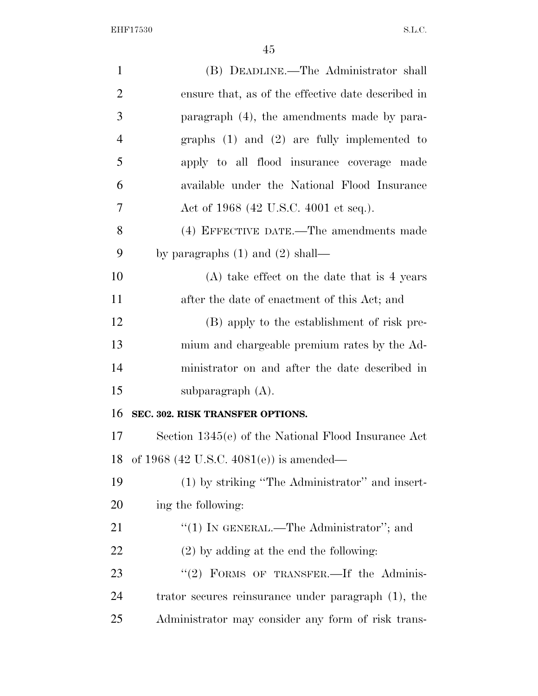| $\mathbf{1}$   | (B) DEADLINE.—The Administrator shall               |
|----------------|-----------------------------------------------------|
| $\overline{2}$ | ensure that, as of the effective date described in  |
| 3              | paragraph (4), the amendments made by para-         |
| 4              | graphs $(1)$ and $(2)$ are fully implemented to     |
| 5              | apply to all flood insurance coverage made          |
| 6              | available under the National Flood Insurance        |
| 7              | Act of 1968 (42 U.S.C. 4001 et seq.).               |
| 8              | (4) EFFECTIVE DATE.—The amendments made             |
| 9              | by paragraphs $(1)$ and $(2)$ shall—                |
| 10             | $(A)$ take effect on the date that is 4 years       |
| 11             | after the date of enactment of this Act; and        |
| 12             | (B) apply to the establishment of risk pre-         |
| 13             | mium and chargeable premium rates by the Ad-        |
| 14             | ministrator on and after the date described in      |
| 15             | subparagraph $(A)$ .                                |
| 16             | SEC. 302. RISK TRANSFER OPTIONS.                    |
| 17             | Section 1345(e) of the National Flood Insurance Act |
| 18             | of 1968 (42 U.S.C. 4081(e)) is amended—             |
| 19             | (1) by striking "The Administrator" and insert-     |
| 20             | ing the following:                                  |
| 21             | "(1) IN GENERAL.—The Administrator"; and            |
| <u>22</u>      | $(2)$ by adding at the end the following:           |
| 23             | "(2) FORMS OF TRANSFER.—If the Adminis-             |
| 24             | trator secures reinsurance under paragraph (1), the |
| 25             | Administrator may consider any form of risk trans-  |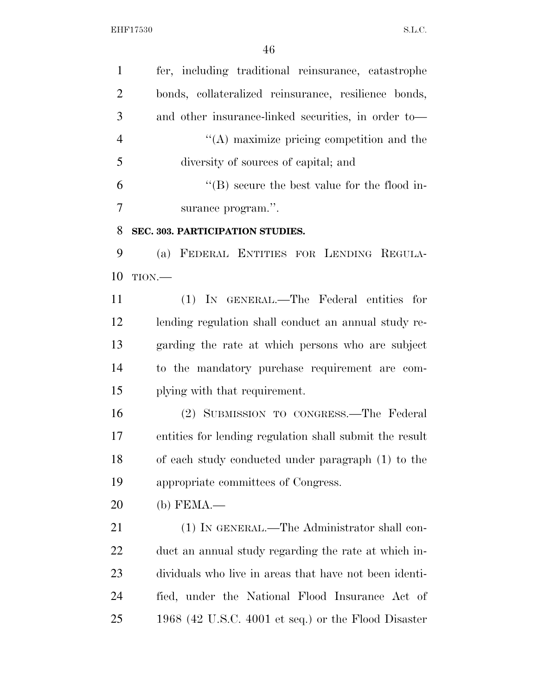fer, including traditional reinsurance, catastrophe bonds, collateralized reinsurance, resilience bonds, and other insurance-linked securities, in order to— 4 ''(A) maximize pricing competition and the diversity of sources of capital; and ''(B) secure the best value for the flood in- surance program.''. **SEC. 303. PARTICIPATION STUDIES.**  (a) FEDERAL ENTITIES FOR LENDING REGULA- TION.— (1) IN GENERAL.—The Federal entities for lending regulation shall conduct an annual study re- garding the rate at which persons who are subject to the mandatory purchase requirement are com- plying with that requirement. (2) SUBMISSION TO CONGRESS.—The Federal entities for lending regulation shall submit the result of each study conducted under paragraph (1) to the appropriate committees of Congress. (b) FEMA.— 21 (1) IN GENERAL.—The Administrator shall con- duct an annual study regarding the rate at which in- dividuals who live in areas that have not been identi- fied, under the National Flood Insurance Act of 1968 (42 U.S.C. 4001 et seq.) or the Flood Disaster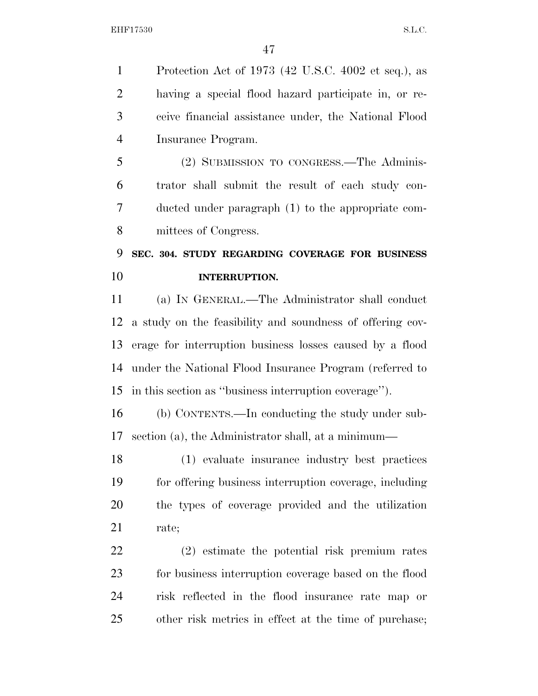Protection Act of 1973 (42 U.S.C. 4002 et seq.), as having a special flood hazard participate in, or re- ceive financial assistance under, the National Flood Insurance Program.

 (2) SUBMISSION TO CONGRESS.—The Adminis- trator shall submit the result of each study con- ducted under paragraph (1) to the appropriate com-mittees of Congress.

# **SEC. 304. STUDY REGARDING COVERAGE FOR BUSINESS INTERRUPTION.**

 (a) IN GENERAL.—The Administrator shall conduct a study on the feasibility and soundness of offering cov- erage for interruption business losses caused by a flood under the National Flood Insurance Program (referred to in this section as ''business interruption coverage'').

 (b) CONTENTS.—In conducting the study under sub-section (a), the Administrator shall, at a minimum—

 (1) evaluate insurance industry best practices for offering business interruption coverage, including the types of coverage provided and the utilization rate;

 (2) estimate the potential risk premium rates for business interruption coverage based on the flood risk reflected in the flood insurance rate map or other risk metrics in effect at the time of purchase;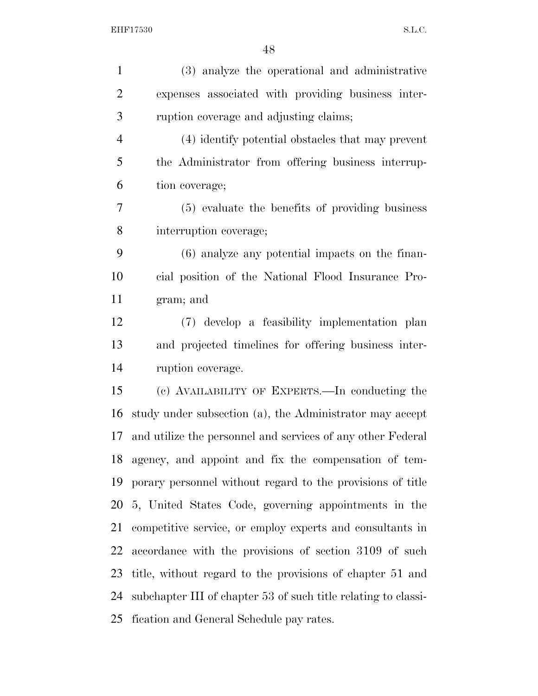| $\mathbf{1}$   | (3) analyze the operational and administrative                 |
|----------------|----------------------------------------------------------------|
| $\overline{2}$ | expenses associated with providing business inter-             |
| 3              | ruption coverage and adjusting claims;                         |
| $\overline{4}$ | (4) identify potential obstacles that may prevent              |
| 5              | the Administrator from offering business interrup-             |
| 6              | tion coverage;                                                 |
| 7              | (5) evaluate the benefits of providing business                |
| 8              | interruption coverage;                                         |
| 9              | $(6)$ analyze any potential impacts on the finan-              |
| 10             | cial position of the National Flood Insurance Pro-             |
| 11             | gram; and                                                      |
| 12             | (7) develop a feasibility implementation plan                  |
| 13             | and projected timelines for offering business inter-           |
| 14             | ruption coverage.                                              |
| 15             | (c) AVAILABILITY OF EXPERTS.—In conducting the                 |
| 16             | study under subsection (a), the Administrator may accept       |
| 17             | and utilize the personnel and services of any other Federal    |
|                | 18 agency, and appoint and fix the compensation of tem-        |
| 19             | porary personnel without regard to the provisions of title     |
| 20             | 5, United States Code, governing appointments in the           |
| 21             | competitive service, or employ experts and consultants in      |
| 22             | accordance with the provisions of section 3109 of such         |
| 23             | title, without regard to the provisions of chapter 51 and      |
| 24             | subchapter III of chapter 53 of such title relating to classi- |
| 25             | fication and General Schedule pay rates.                       |